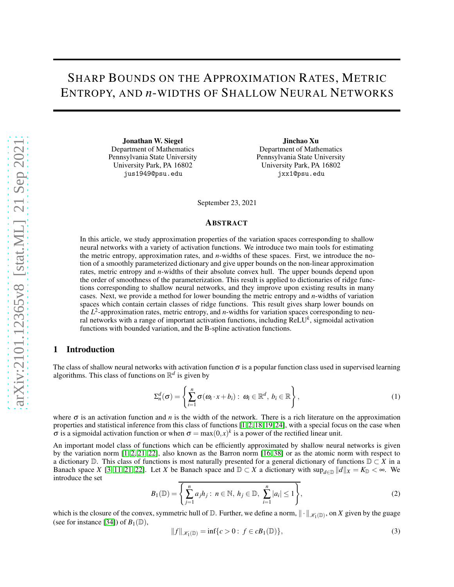# SHARP BOUNDS ON THE APPROXIMATION RATES, METRIC ENTROPY, AND *n*-WIDTHS OF SHALLOW NEURAL NETWORKS

Jonathan W. Siegel Department of Mathematics Pennsylvania State University University Park, PA 16802 jus1949@psu.edu

Jinchao Xu Department of Mathematics Pennsylvania State University University Park, PA 16802 jxx1@psu.edu

September 23, 2021

#### ABSTRACT

In this article, we study approximation properties of the variation spaces corresponding to shallow neural networks with a variety of activation functions. We introduce two main tools for estimating the metric entropy, approximation rates, and *n*-widths of these spaces. First, we introduce the notion of a smoothly parameterized dictionary and give upper bounds on the non-linear approximation rates, metric entropy and *n*-widths of their absolute convex hull. The upper bounds depend upon the order of smoothness of the parameterization. This result is applied to dictionaries of ridge functions corresponding to shallow neural networks, and they improve upon existing results in many cases. Next, we provide a method for lower bounding the metric entropy and *n*-widths of variation spaces which contain certain classes of ridge functions. This result gives sharp lower bounds on the  $L^2$ -approximation rates, metric entropy, and *n*-widths for variation spaces corresponding to neural networks with a range of important activation functions, including ReLU*<sup>k</sup>* , sigmoidal activation functions with bounded variation, and the B-spline activation functions.

## 1 Introduction

The class of shallow neural networks with activation function  $\sigma$  is a popular function class used in supervised learning algorithms. This class of functions on  $\mathbb{R}^d$  is given by

$$
\Sigma_n^d(\sigma) = \left\{ \sum_{i=1}^n \sigma(\omega_i \cdot x + b_i) : \ \omega_i \in \mathbb{R}^d, \ b_i \in \mathbb{R} \right\},\tag{1}
$$

where  $\sigma$  is an activation function and *n* is the width of the network. There is a rich literature on the approximation properties and statistical inference from this class of functions [\[1,](#page-26-0) [2,](#page-26-1) [18,](#page-27-0) [19,](#page-27-1) [24\]](#page-27-2), with a special focus on the case when  $\sigma$  is a sigmoidal activation function or when  $\sigma = \max(0, x)^k$  is a power of the rectified linear unit.

An important model class of functions which can be efficiently approximated by shallow neural networks is given by the variation norm [\[1,](#page-26-0) [2,](#page-26-1) [21,](#page-27-3) [22\]](#page-27-4), also known as the Barron norm [\[16,](#page-27-5) [38\]](#page-28-0) or as the atomic norm with respect to a dictionary <sup>D</sup>. This class of functions is most naturally presented for a general dictionary of functions <sup>D</sup> <sup>⊂</sup> *<sup>X</sup>* in a Banach space *X* [\[3,](#page-26-2) [11,](#page-27-6) [21,](#page-27-3) [22\]](#page-27-4). Let *X* be Banach space and  $D \subset X$  a dictionary with  $\sup_{d \in D} ||d||_X = K_D < \infty$ . We introduce the set

$$
B_1(\mathbb{D}) = \left\{ \sum_{j=1}^n a_j h_j : n \in \mathbb{N}, h_j \in \mathbb{D}, \sum_{i=1}^n |a_i| \le 1 \right\},\tag{2}
$$

which is the closure of the convex, symmetric hull of  $D$ . Further, we define a norm,  $\|\cdot\|_{\mathcal{K}_1(D)}$ , on *X* given by the guage (see for instance [\[34\]](#page-27-7)) of  $B_1(\mathbb{D})$ ,

$$
||f||_{\mathcal{K}_1(\mathbb{D})} = \inf \{ c > 0 : f \in cB_1(\mathbb{D}) \},
$$
\n(3)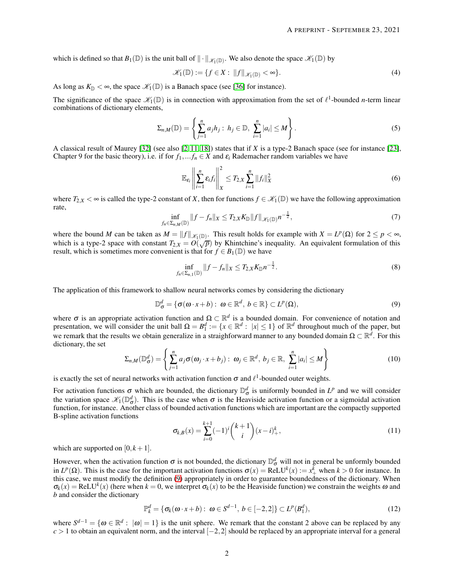which is defined so that  $B_1(\mathbb{D})$  is the unit ball of  $\|\cdot\|_{\mathscr{K}_1(\mathbb{D})}$ . We also denote the space  $\mathscr{K}_1(\mathbb{D})$  by

$$
\mathscr{K}_1(\mathbb{D}) := \{ f \in X : ||f||_{\mathscr{K}_1(\mathbb{D})} < \infty \}. \tag{4}
$$

As long as  $K_{\mathbb{D}} < \infty$ , the space  $\mathcal{K}_1(\mathbb{D})$  is a Banach space (see [\[36\]](#page-28-1) for instance).

The significance of the space  $\mathscr{K}_1(\mathbb{D})$  is in connection with approximation from the set of  $\ell^1$ -bounded *n*-term linear combinations of dictionary elements,

$$
\Sigma_{n,M}(\mathbb{D}) = \left\{ \sum_{j=1}^n a_j h_j : h_j \in \mathbb{D}, \sum_{i=1}^n |a_i| \le M \right\}.
$$
 (5)

A classical result of Maurey [\[32\]](#page-27-8) (see also [\[2,](#page-26-1) [11,](#page-27-6) [18\]](#page-27-0)) states that if *X* is a type-2 Banach space (see for instance [\[23\]](#page-27-9), Chapter 9 for the basic theory), i.e. if for  $f_1, \ldots, f_n \in X$  and  $\varepsilon_i$  Rademacher random variables we have

$$
\mathbb{E}_{\varepsilon_i} \left\| \sum_{i=1}^n \varepsilon_i f_i \right\|_X^2 \le T_{2,X} \sum_{i=1}^n \|f_i\|_X^2 \tag{6}
$$

<span id="page-1-1"></span>where  $T_{2,X} < \infty$  is called the type-2 constant of *X*, then for functions  $f \in \mathcal{K}_1(\mathbb{D})$  we have the following approximation rate,

$$
\inf_{f_n \in \Sigma_{n,M}(\mathbb{D})} ||f - f_n||_X \le T_{2,X} K_{\mathbb{D}} ||f||_{\mathscr{K}_1(\mathbb{D})} n^{-\frac{1}{2}},\tag{7}
$$

where the bound *M* can be taken as  $M = ||f||_{\mathscr{K}_1(\mathbb{D})}$ . This result holds for example with  $X = L^p(\Omega)$  for  $2 \le p < \infty$ , which is a type-2 space with constant  $T_{2,X} = O(\sqrt{p})$  by Khintchine's inequality. An equivalent formulation of this result, which is sometimes more convenient is that for  $f \in B_1(\mathbb{D})$  we have

<span id="page-1-0"></span>
$$
\inf_{f_n \in \Sigma_{n,1}(\mathbb{D})} ||f - f_n||_X \le T_{2,X} K_{\mathbb{D}} n^{-\frac{1}{2}}.
$$
\n(8)

The application of this framework to shallow neural networks comes by considering the dictionary

$$
\mathbb{D}_{\sigma}^{d} = \{ \sigma(\omega \cdot x + b) : \ \omega \in \mathbb{R}^{d}, \ b \in \mathbb{R} \} \subset L^{p}(\Omega), \tag{9}
$$

where  $\sigma$  is an appropriate activation function and  $\Omega \subset \mathbb{R}^d$  is a bounded domain. For convenience of notation and presentation, we will consider the unit ball  $\Omega = B_1^d := \{x \in \mathbb{R}^d : |x| \leq 1\}$  of  $\mathbb{R}^d$  throughout much of the paper, but we remark that the results we obtain generalize in a straighforward manner to any bounded domain  $\Omega \subset \mathbb{R}^d$ . For this dictionary, the set

$$
\Sigma_{n,M}(\mathbb{D}_{\sigma}^{d}) = \left\{ \sum_{j=1}^{n} a_j \sigma(\omega_j \cdot x + b_j) : \ \omega_j \in \mathbb{R}^d, \ b_j \in \mathbb{R}, \ \sum_{i=1}^{n} |a_i| \leq M \right\}
$$
(10)

is exactly the set of neural networks with activation function  $\sigma$  and  $\ell^1$ -bounded outer weights.

For activation functions  $\sigma$  which are bounded, the dictionary  $\mathbb{D}^d_{\sigma}$  is uniformly bounded in  $L^p$  and we will consider the variation space  $\mathscr{K}_1(\mathbb{D}_{\sigma}^d)$ . This is the case when  $\sigma$  is the Heaviside activation function or a sigmoidal activation function, for instance. Another class of bounded activation functions which are important are the compactly supported B-spline activation functions

$$
\sigma_{k,B}(x) = \sum_{i=0}^{k+1} (-1)^i {k+1 \choose i} (x-i)_+^k,
$$
\n(11)

which are supported on  $[0, k+1]$ .

However, when the activation function  $\sigma$  is not bounded, the dictionary  $\mathbb{D}^d_{\sigma}$  will not in general be unformly bounded in  $L^p(\Omega)$ . This is the case for the important activation functions  $\sigma(x) = \text{ReLU}^k(x) := x^k_+$  when  $k > 0$  for instance. In this case, we must modify the definition [\(9\)](#page-1-0) appropriately in order to guarantee boundedness of the dictionary. When  $\sigma_k(x) = \text{ReLU}^k(x)$  (here when  $k = 0$ , we interpret  $\sigma_k(x)$  to be the Heaviside function) we constrain the weights  $\omega$  and *b* and consider the dictionary

$$
\mathbb{P}_k^d = \{ \sigma_k(\omega \cdot x + b) : \ \omega \in S^{d-1}, \ b \in [-2,2] \} \subset L^p(B_1^d), \tag{12}
$$

where  $S^{d-1} = \{ \omega \in \mathbb{R}^d : |\omega| = 1 \}$  is the unit sphere. We remark that the constant 2 above can be replaced by any *c* > 1 to obtain an equivalent norm, and the interval [−2, 2] should be replaced by an appropriate interval for a general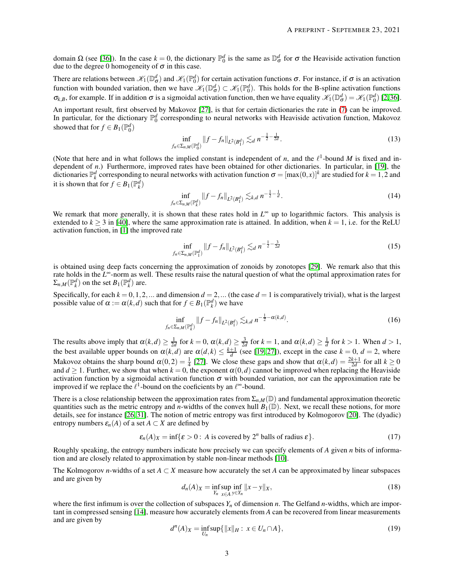domain  $\Omega$  (see [\[36\]](#page-28-1)). In the case  $k = 0$ , the dictionary  $\mathbb{P}_0^d$  is the same as  $\mathbb{D}_\sigma^d$  for  $\sigma$  the Heaviside activation function due to the degree 0 homogeneity of  $\sigma$  in this case.

There are relations between  $\mathscr{K}_1(\mathbb{D}_{\sigma}^d)$  and  $\mathscr{K}_1(\mathbb{P}_0^d)$  for certain activation functions  $\sigma$ . For instance, if  $\sigma$  is an activation function with bounded variation, then we have  $\mathscr{K}_1(\mathbb{D}_{\sigma}^d) \subset \mathscr{K}_1(\mathbb{P}_0^d)$ . This holds for the B-spline activation functions  $\sigma_{k,B}$ , for example. If in addition  $\sigma$  is a sigmoidal activation function, then we have equality  $\mathscr{K}_1(\mathbb{D}^d_{\sigma}) = \mathscr{K}_1(\mathbb{P}^d_0)$  [\[2,](#page-26-1)[36\]](#page-28-1).

An important result, first observed by Makovoz [\[27\]](#page-27-10), is that for certain dictionaries the rate in [\(7\)](#page-1-1) can be improved. In particular, for the dictionary  $\mathbb{P}_0^d$  corresponding to neural networks with Heaviside activation function, Makovoz showed that for  $f \in B_1(\mathbb{P}_0^d)$ 

$$
\inf_{f_n \in \Sigma_{n,M}(\mathbb{P}_0^d)} \|f - f_n\|_{L^2(B_1^d)} \lesssim_d n^{-\frac{1}{2} - \frac{1}{2d}}.
$$
\n(13)

(Note that here and in what follows the implied constant is independent of *n*, and the  $\ell^1$ -bound *M* is fixed and independent of *n*.) Furthermore, improved rates have been obtained for other dictionaries. In particular, in [\[19\]](#page-27-1), the dictionaries  $\mathbb{P}_k^d$  corresponding to neural networks with activation function  $\sigma = [\max(0,x)]^k$  are studied for  $k = 1,2$  and it is shown that for  $f \in B_1(\mathbb{P}_k^d)$ 

$$
\inf_{f_n \in \Sigma_{n,M}(\mathbb{P}_k^d)} \|f - f_n\|_{L^2(B_1^d)} \lesssim_{k,d} n^{-\frac{1}{2} - \frac{1}{d}}.
$$
 (14)

We remark that more generally, it is shown that these rates hold in *L*<sup>∞</sup> up to logarithmic factors. This analysis is extended to  $k \ge 3$  in [\[40\]](#page-28-2), where the same approximation rate is attained. In addition, when  $k = 1$ , i.e. for the ReLU activation function, in [\[1\]](#page-26-0) the improved rate

$$
\inf_{f_n \in \Sigma_{n,M}(\mathbb{P}_1^d)} \|f - f_n\|_{L^2(B_1^d)} \lesssim_d n^{-\frac{1}{2} - \frac{3}{2d}} \tag{15}
$$

is obtained using deep facts concerning the approximation of zonoids by zonotopes [\[29\]](#page-27-11). We remark also that this rate holds in the L<sup>∞</sup>-norm as well. These results raise the natural question of what the optimal approximation rates for  $\Sigma_{n,M}(\mathbb{P}_k^d)$  on the set  $B_1(\mathbb{P}_k^d)$  are.

Specifically, for each  $k = 0, 1, 2, ...$  and dimension  $d = 2, ...$  (the case  $d = 1$  is comparatively trivial), what is the largest possible value of  $\alpha := \alpha(k, d)$  such that for  $f \in B_1(\mathbb{P}_k^d)$  we have

<span id="page-2-0"></span>
$$
\inf_{f_n \in \Sigma_{n,M}(\mathbb{P}_k^d)} \|f - f_n\|_{L^2(B_1^d)} \lesssim_{k,d} n^{-\frac{1}{2} - \alpha(k,d)}.
$$
 (16)

The results above imply that  $\alpha(k, d) \geq \frac{1}{2d}$  for  $k = 0$ ,  $\alpha(k, d) \geq \frac{3}{2d}$  for  $k = 1$ , and  $\alpha(k, d) \geq \frac{1}{d}$  for  $k > 1$ . When  $d > 1$ , the best available upper bounds on  $\alpha(k,d)$  are  $\alpha(d,k) \leq \frac{k+1}{d}$  (see [\[19,](#page-27-1)27]), except in the case  $k = 0$ ,  $d = 2$ , where Makovoz obtains the sharp bound  $\alpha(0,2) = \frac{1}{4}$  [\[27\]](#page-27-10). We close these gaps and show that  $\alpha(k,d) = \frac{2k+1}{2d}$  for all  $k \ge 0$ and  $d \ge 1$ . Further, we show that when  $k = 0$ , the exponent  $\alpha(0, d)$  cannot be improved when replacing the Heaviside activation function by a sigmoidal activation function  $\sigma$  with bounded variation, nor can the approximation rate be improved if we replace the  $\ell^1$ -bound on the coeficients by an  $\ell^{\infty}$ -bound.

There is a close relationship between the approximation rates from  $\Sigma_{n,M}(\mathbb{D})$  and fundamental approximation theoretic quantities such as the metric entropy and *n*-widths of the convex hull  $B_1(\mathbb{D})$ . Next, we recall these notions, for more details, see for instance [\[26,](#page-27-12) [31\]](#page-27-13). The notion of metric entropy was first introduced by Kolmogorov [\[20\]](#page-27-14). The (dyadic) entropy numbers  $\varepsilon_n(A)$  of a set  $A \subset X$  are defined by

$$
\varepsilon_n(A)_X = \inf\{\varepsilon > 0: A \text{ is covered by } 2^n \text{ balls of radius } \varepsilon\}. \tag{17}
$$

Roughly speaking, the entropy numbers indicate how precisely we can specify elements of *A* given *n* bits of information and are closely related to approximation by stable non-linear methods [\[10\]](#page-27-15).

The Kolmogorov *n*-widths of a set  $A \subset X$  measure how accurately the set *A* can be approximated by linear subspaces and are given by

$$
d_n(A)_X = \inf_{Y_n} \sup_{x \in A} \inf_{y \in Y_n} ||x - y||_X,\tag{18}
$$

where the first infimum is over the collection of subspaces  $Y_n$  of dimension  $n$ . The Gelfand  $n$ -widths, which are important in compressed sensing [\[14\]](#page-27-16), measure how accurately elements from *A* can be recovered from linear measurements and are given by

$$
d^{n}(A)_{X} = \inf_{U_{n}} \sup \{ ||x||_{H} : x \in U_{n} \cap A \},
$$
\n(19)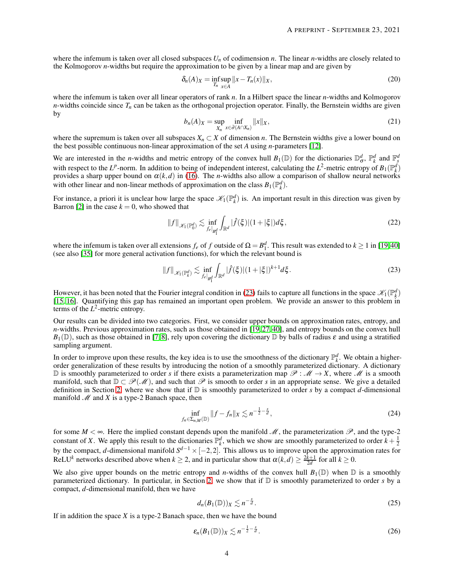where the infemum is taken over all closed subspaces *U<sup>n</sup>* of codimension *n*. The linear *n*-widths are closely related to the Kolmogorov *n*-widths but require the approximation to be given by a linear map and are given by

$$
\delta_n(A)_X = \inf_{T_n} \sup_{x \in A} ||x - T_n(x)||_X,
$$
\n(20)

where the infemum is taken over all linear operators of rank *n*. In a Hilbert space the linear *n*-widths and Kolmogorov *n*-widths coincide since  $T<sub>n</sub>$  can be taken as the orthogonal projection operator. Finally, the Bernstein widths are given by

$$
b_n(A)_X = \sup_{X_n} \inf_{x \in \partial(A \cap X_n)} ||x||_X,\tag{21}
$$

where the supremum is taken over all subspaces  $X_n \subset X$  of dimension *n*. The Bernstein widths give a lower bound on the best possible continuous non-linear approximation of the set *A* using *n*-parameters [\[12\]](#page-27-17).

We are interested in the *n*-widths and metric entropy of the convex hull  $B_1(\mathbb{D})$  for the dictionaries  $\mathbb{D}^d_{\sigma}$ ,  $\mathbb{P}^d_k$  and  $\mathbb{F}^d_s$ with respect to the *L*<sup>*p*</sup>-norm. In addition to being of independent interest, calculating the *L*<sup>2</sup>-metric entropy of  $B_1(\mathbb{P}_k^d)$ provides a sharp upper bound on  $\alpha(k,d)$  in [\(16\)](#page-2-0). The *n*-widths also allow a comparison of shallow neural networks with other linear and non-linear methods of approximation on the class  $B_1(\mathbb{P}_k^d)$ .

For instance, a priori it is unclear how large the space  $\mathcal{K}_1(\mathbb{P}^d_k)$  is. An important result in this direction was given by Barron [\[2\]](#page-26-1) in the case  $k = 0$ , who showed that

<span id="page-3-0"></span>
$$
||f||_{\mathscr{K}_{1}(\mathbb{P}_{0}^{d})} \lesssim \inf_{f_{e}|_{\mathcal{B}_{1}^{d}}}\int_{\mathbb{R}^{d}}|\widehat{f}(\xi)|(1+|\xi|)d\xi,
$$
\n(22)

where the infemum is taken over all extensions  $f_e$  of  $f$  outside of  $\Omega = B_1^d$ . This result was extended to  $k \ge 1$  in [\[19,](#page-27-1)[40\]](#page-28-2) (see also [\[35\]](#page-27-18) for more general activation functions), for which the relevant bound is

$$
||f||_{\mathscr{K}_1(\mathbb{P}_k^d)} \lesssim \inf_{f_e|_{B_1^d}} \int_{\mathbb{R}^d} |\hat{f}(\xi)| (1+|\xi|)^{k+1} d\xi.
$$
 (23)

However, it has been noted that the Fourier integral condition in [\(23\)](#page-3-0) fails to capture all functions in the space  $\mathcal{K}_1(\mathbb{P}^d_k)$ [\[15,](#page-27-19) [16\]](#page-27-5). Quantifying this gap has remained an important open problem. We provide an answer to this problem in terms of the  $L^2$ -metric entropy.

Our results can be divided into two categories. First, we consider upper bounds on approximation rates, entropy, and *n*-widths. Previous approximation rates, such as those obtained in [\[19,](#page-27-1) [27,](#page-27-10) [40\]](#page-28-2), and entropy bounds on the convex hull  $B_1(\mathbb{D})$ , such as those obtained in [\[7,](#page-27-20) [8\]](#page-27-21), rely upon covering the dictionary  $\mathbb D$  by balls of radius  $\varepsilon$  and using a stratified sampling argument.

In order to improve upon these results, the key idea is to use the smoothness of the dictionary  $\mathbb{P}_k^d$ . We obtain a higherorder generalization of these results by introducing the notion of a smoothly parameterized dictionary. A dictionary D is smoothly parameterized to order *s* if there exists a parameterization map  $\mathscr{P}: \mathscr{M} \to X$ , where  $\mathscr{M}$  is a smooth manifold, such that  $D \subset \mathcal{P}(\mathcal{M})$ , and such that  $\mathcal P$  is smooth to order *s* in an appropriate sense. We give a detailed definition in Section [2,](#page-4-0) where we show that if D is smoothly parameterized to order *s* by a compact *d*-dimensional manifold  $M$  and  $X$  is a type-2 Banach space, then

$$
\inf_{f_n \in \Sigma_{n,M}(\mathbb{D})} \|f - f_n\|_X \lesssim n^{-\frac{1}{2} - \frac{s}{d}},\tag{24}
$$

for some  $M < \infty$ . Here the implied constant depends upon the manifold M, the parameterization  $\mathcal{P}$ , and the type-2 constant of *X*. We apply this result to the dictionaries  $\mathbb{P}_k^d$ , which we show are smoothly parameterized to order  $k + \frac{1}{2}$ by the compact, *d*-dimensional manifold  $S^{d-1} \times [-2,2]$ . This allows us to improve upon the approximation rates for ReLU<sup>k</sup> networks described above when  $k \ge 2$ , and in particular show that  $\alpha(k,d) \ge \frac{2k+1}{2d}$  for all  $k \ge 0$ .

We also give upper bounds on the metric entropy and *n*-widths of the convex hull  $B_1(\mathbb{D})$  when  $\mathbb D$  is a smoothly parameterized dictionary. In particular, in Section [2,](#page-4-0) we show that if D is smoothly parameterized to order *s* by a compact, *d*-dimensional manifold, then we have

$$
d_n(B_1(\mathbb{D}))_X \lesssim n^{-\frac{s}{d}}.\tag{25}
$$

If in addition the space  $X$  is a type-2 Banach space, then we have the bound

$$
\varepsilon_n(B_1(\mathbb{D}))_X \lesssim n^{-\frac{1}{2} - \frac{s}{d}}.\tag{26}
$$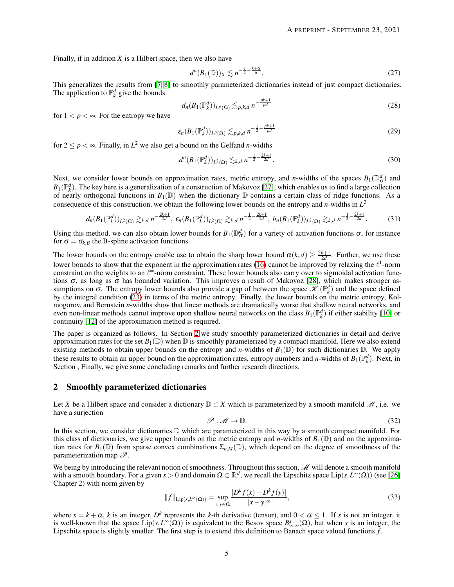Finally, if in addition *X* is a Hilbert space, then we also have

$$
d^n(B_1(\mathbb{D}))_X \lesssim n^{-\frac{1}{2} - \frac{k+\alpha}{d}}.\tag{27}
$$

This generalizes the results from [\[7,](#page-27-20) [8\]](#page-27-21) to smoothly parameterized dictionaries instead of just compact dictionaries. The application to  $\mathbb{P}_k^d$  give the bounds

$$
d_n(B_1(\mathbb{P}_k^d))_{L^p(\Omega)} \lesssim_{p,k,d} n^{-\frac{pk+1}{pd}}
$$
\n(28)

for  $1 < p < \infty$ . For the entropy we have

$$
\varepsilon_n(B_1(\mathbb{P}_k^d))_{L^p(\Omega)} \lesssim_{p,k,d} n^{-\frac{1}{2} - \frac{pk+1}{pd}}
$$
 (29)

for  $2 \le p < \infty$ . Finally, in  $L^2$  we also get a bound on the Gelfand *n*-widths

$$
d^{n}(B_{1}(\mathbb{P}_{k}^{d}))_{L^{2}(\Omega)} \lesssim_{k,d} n^{-\frac{1}{2} - \frac{2k+1}{2d}}.
$$
\n(30)

Next, we consider lower bounds on approximation rates, metric entropy, and *n*-widths of the spaces  $B_1(\mathbb{D}^d_{\sigma})$  and  $B_1(\mathbb{P}_k^d)$ . The key here is a generalization of a construction of Makovoz [\[27\]](#page-27-10), which enables us to find a large collection of nearly orthogonal functions in  $B_1(\mathbb{D})$  when the dictionary  $\mathbb D$  contains a certain class of ridge functions. As a consequence of this construction, we obtain the following lower bounds on the entropy and *n*-widths in *L* 2

$$
d_n(B_1(\mathbb{P}_k^d))_{L^2(\Omega)} \gtrsim_{k,d} n^{-\frac{2k+1}{2d}}, \ \varepsilon_n(B_1(\mathbb{P}_k^d))_{L^2(\Omega)} \gtrsim_{k,d} n^{-\frac{1}{2}-\frac{2k+1}{2d}}, \ b_n(B_1(\mathbb{P}_k^d))_{L^2(\Omega)} \gtrsim_{k,d} n^{-\frac{1}{2}-\frac{2k+1}{2d}}.
$$

Using this method, we can also obtain lower bounds for  $B_1(\mathbb{D}^d_\sigma)$  for a variety of activation functions  $\sigma$ , for instance for  $\sigma = \sigma_{k,B}$  the B-spline activation functions.

The lower bounds on the entropy enable use to obtain the sharp lower bound  $\alpha(k,d) \geq \frac{2k+1}{2d}$ . Further, we use these lower bounds to show that the exponent in the approximation rates [\(16\)](#page-2-0) cannot be improved by relaxing the  $\ell^1$ -norm constraint on the weights to an  $\ell^{\infty}$ -norm constraint. These lower bounds also carry over to sigmoidal activation functions  $\sigma$ , as long as  $\sigma$  has bounded variation. This improves a result of Makovoz [\[28\]](#page-27-22), which makes stronger assumptions on  $\sigma$ . The entropy lower bounds also provide a gap of between the space  $\mathcal{K}_1(\mathbb{P}_k^d)$  and the space defined by the integral condition [\(23\)](#page-3-0) in terms of the metric entropy. Finally, the lower bounds on the metric entropy, Kolmogorov, and Bernstein *n*-widths show that linear methods are dramatically worse that shallow neural networks, and even non-linear methods cannot improve upon shallow neural networks on the class  $B_1(\mathbb{P}_k^d)$  if either stability [\[10\]](#page-27-15) or continuity [\[12\]](#page-27-17) of the approximation method is required.

The paper is organized as follows. In Section [2](#page-4-0) we study smoothly parameterized dictionaries in detail and derive approximation rates for the set  $B_1(\mathbb{D})$  when  $\mathbb D$  is smoothly parameterized by a compact manifold. Here we also extend existing methods to obtain upper bounds on the entropy and *n*-widths of  $B_1(\mathbb{D})$  for such dictionaries  $\mathbb{D}$ . We apply these results to obtain an upper bound on the approximation rates, entropy numbers and *n*-widths of  $B_1(\mathbb{P}_k^d)$ . Next, in Section , Finally, we give some concluding remarks and further research directions.

## <span id="page-4-0"></span>2 Smoothly parameterized dictionaries

Let *X* be a Hilbert space and consider a dictionary  $D \subset X$  which is parameterized by a smooth manifold  $M$ , i.e. we have a surjection

$$
\mathcal{P} : \mathcal{M} \to \mathbb{D}.
$$
 (32)

In this section, we consider dictionaries  $D$  which are parameterized in this way by a smooth compact manifold. For this class of dictionaries, we give upper bounds on the metric entropy and *n*-widths of  $B_1(\mathbb{D})$  and on the approximation rates for  $B_1(\mathbb{D})$  from sparse convex combinations  $\Sigma_{n,M}(\mathbb{D})$ , which depend on the degree of smoothness of the parameterization map  $\mathscr{P}$ .

We being by introducing the relevant notion of smoothness. Throughout this section,  $\mathcal M$  will denote a smooth manifold with a smooth boundary. For a given  $s > 0$  and domain  $\Omega \subset \mathbb{R}^d$ , we recall the Lipschitz space Lip $(s, L^{\infty}(\Omega))$  (see [\[26\]](#page-27-12) Chapter 2) with norm given by

$$
||f||_{\text{Lip}(s,L^{\infty}(\Omega))} = \sup_{x,y \in \Omega} \frac{|D^k f(x) - D^k f(y)|}{|x - y|^{\alpha}},
$$
\n(33)

where  $s = k + \alpha$ , *k* is an integer,  $D^k$  represents the *k*-th derivative (tensor), and  $0 < \alpha \le 1$ . If *s* is not an integer, it is well-known that the space  $\text{Lip}(s, L^{\infty}(\Omega))$  is equivalent to the Besov space  $B^s_{\infty, \infty}(\Omega)$ , but when *s* is an integer, the Lipschitz space is slightly smaller. The first step is to extend this definition to Banach space valued functions  $f$ .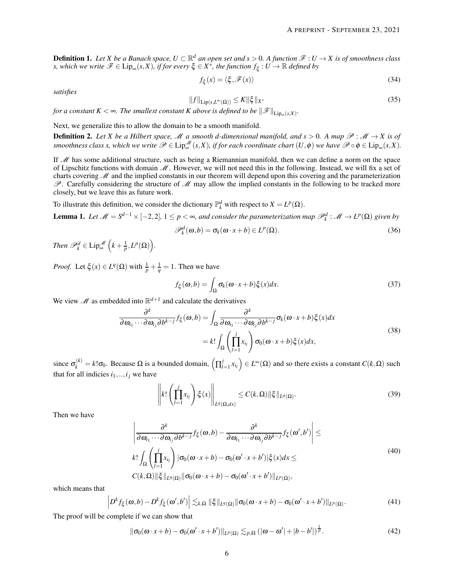**Definition 1.** Let *X* be a Banach space,  $U \subset \mathbb{R}^d$  an open set and  $s > 0$ . A function  $\mathcal{F} : U \to X$  is of smoothness class  $s$ , which we write  $\mathscr{F} \in \mathrm{Lip}_\infty(s,X)$ , if for every  $\xi \in X^*$ , the function  $f_{\xi}: U \to \mathbb{R}$  defined by

$$
f_{\xi}(x) = \langle \xi, \mathcal{F}(x) \rangle \tag{34}
$$

*satisfies*

$$
||f||_{\text{Lip}(s,L^{\infty}(\Omega))} \leq K||\xi||_{X^*}
$$
\n(35)

*for a constant*  $K < \infty$ . The smallest constant K above is defined to be  $\|\mathscr{F}\|_{\mathrm{Lip}_\infty(s,X)}$ .

Next, we generalize this to allow the domain to be a smooth manifold.

**Definition 2.** Let X be a Hilbert space, M a smooth d-dimensional manifold, and  $s > 0$ . A map  $\mathcal{P}: \mathcal{M} \to X$  is of  $s$ *moothness class s, which we write*  $\mathscr{P} \in \text{Lip}^{\mathscr{M}}_{\infty}(s,X)$ , if for each coordinate chart  $(U,\phi)$  we have  $\mathscr{P} \circ \phi \in \text{Lip}_{\infty}(s,X)$ .

If  $M$  has some additional structure, such as being a Riemannian manifold, then we can define a norm on the space of Lipschitz functions with domain  $M$ . However, we will not need this in the following. Instead, we will fix a set of charts covering  $M$  and the implied constants in our theorem will depend upon this covering and the parameterization  $\mathscr P$ . Carefully considering the structure of  $\mathscr M$  may allow the implied constants in the following to be tracked more closely, but we leave this as future work.

To illustrate this definition, we consider the dictionary  $\mathbb{P}_k^d$  with respect to  $X = L^p(\Omega)$ .

<span id="page-5-0"></span>**Lemma 1.** Let  $M = S^{d-1} \times [-2,2]$ ,  $1 \le p < \infty$ , and consider the parameterization map  $\mathscr{P}_k^d : \mathscr{M} \to L^p(\Omega)$  given by

$$
\mathscr{P}_k^d(\omega, b) = \sigma_k(\omega \cdot x + b) \in L^p(\Omega). \tag{36}
$$

*Then*  $\mathscr{P}_k^d \in \text{Lip}^{\mathscr{M}}_{\infty}\left(k + \frac{1}{p}, L^p(\Omega)\right)$ .

*Proof.* Let  $\xi(x) \in L^q(\Omega)$  with  $\frac{1}{p} + \frac{1}{q} = 1$ . Then we have

$$
f_{\xi}(\omega, b) = \int_{\Omega} \sigma_k(\omega \cdot x + b) \xi(x) dx.
$$
 (37)

We view  $\mathcal{M}$  as embedded into  $\mathbb{R}^{d+1}$  and calculate the derivatives

$$
\frac{\partial^k}{\partial \omega_{i_1} \cdots \partial \omega_{i_j} \partial b^{k-j}} f_{\xi}(\omega, b) = \int_{\Omega} \frac{\partial^k}{\partial \omega_{i_1} \cdots \partial \omega_{i_j} \partial b^{k-j}} \sigma_k(\omega \cdot x + b) \xi(x) dx
$$
\n
$$
= k! \int_{\Omega} \left( \prod_{l=1}^j x_{i_l} \right) \sigma_0(\omega \cdot x + b) \xi(x) dx,
$$
\n(38)

since  $\sigma_k^{(k)} = k! \sigma_0$ . Because  $\Omega$  is a bounded domain,  $\left(\prod_{l=1}^{j} \sigma_l\right)$  $\left( \sum_{l=1}^{j} x_{i_l} \right) \in L^{\infty}(\Omega)$  and so there exists a constant  $C(k, \Omega)$  such that for all indicies  $i_1, \ldots, i_j$  we have

$$
\left\| k! \left( \prod_{l=1}^{j} x_{i_l} \right) \xi(x) \right\|_{L^q(\Omega, dx)} \le C(k, \Omega) \| \xi \|_{L^q(\Omega)}.
$$
\n(39)

Then we have

$$
\left| \frac{\partial^k}{\partial \omega_{i_1} \cdots \partial \omega_{i_j} \partial b^{k-j}} f_{\xi}(\omega, b) - \frac{\partial^k}{\partial \omega_{i_1} \cdots \partial \omega_{i_j} \partial b^{k-j}} f_{\xi}(\omega', b') \right| \leq
$$
\n
$$
k! \int_{\Omega} \left( \prod_{l=1}^j x_{i_l} \right) |\sigma_0(\omega \cdot x + b) - \sigma_0(\omega' \cdot x + b')| \xi(x) dx \leq
$$
\n
$$
C(k, \Omega) \|\xi\|_{L^q(\Omega)} \|\sigma_0(\omega \cdot x + b) - \sigma_0(\omega' \cdot x + b')\|_{L^p(\Omega)},
$$
\n
$$
(40)
$$

which means that

$$
\left| D^{k} f_{\xi}(\omega,b) - D^{k} f_{\xi}(\omega',b') \right| \lesssim_{k,\Omega} \|\xi\|_{L^{q}(\Omega)} \|\sigma_{0}(\omega \cdot x + b) - \sigma_{0}(\omega' \cdot x + b')\|_{L^{p}(\Omega)}.
$$
\n(41)

The proof will be complete if we can show that

$$
\|\sigma_0(\omega \cdot x + b) - \sigma_0(\omega' \cdot x + b')\|_{L^p(\Omega)} \lesssim_{p,\Omega} (|\omega - \omega'| + |b - b'|)^{\frac{1}{p}}.
$$
 (42)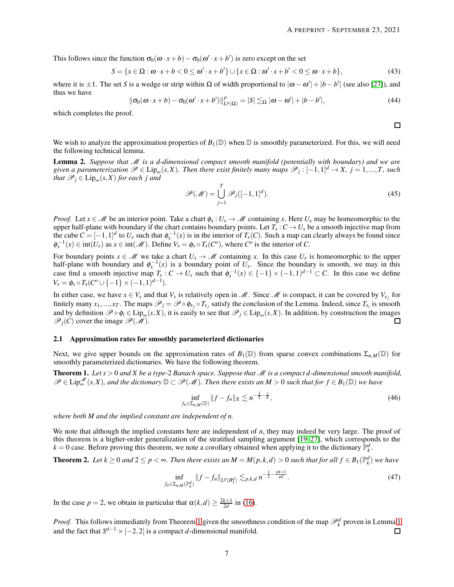This follows since the function  $\sigma_0(\omega \cdot x + b) - \sigma_0(\omega' \cdot x + b')$  is zero except on the set

$$
S = \{x \in \Omega : \omega \cdot x + b < 0 \le \omega' \cdot x + b'\} \cup \{x \in \Omega : \omega' \cdot x + b' < 0 \le \omega \cdot x + b\},\tag{43}
$$

where it is  $\pm 1$ . The set *S* is a wedge or strip within Ω of width proportional to  $|\omega - \omega'| + |b - b'|$  (see also [\[27\]](#page-27-10)), and thus we have

$$
\|\sigma_0(\omega \cdot x + b) - \sigma_0(\omega' \cdot x + b')\|_{L^p(\Omega)}^p = |S| \lesssim_{\Omega} |\omega - \omega'| + |b - b'|,
$$
\n(44)

which completes the proof.

 $\Box$ 

We wish to analyze the approximation properties of  $B_1(\mathbb{D})$  when  $\mathbb{D}$  is smoothly parameterized. For this, we will need the following technical lemma.

<span id="page-6-1"></span>Lemma 2. *Suppose that* M *is a d-dimensional compact smooth manifold (potentially with boundary) and we are*  $given\ a\ parameterization\ \mathscr{P} \in \text{Lip}_{\infty}(s, X)$ . Then there exist finitely many maps  $\mathscr{P}_j: [-1,1]^d \to X$ ,  $j = 1,...,T$ , such *that*  $\mathscr{P}_j \in \text{Lip}_{\infty}(s, X)$  *for each j and* 

$$
\mathcal{P}(\mathcal{M}) = \bigcup_{j=1}^{T} \mathcal{P}_j([-1,1]^d). \tag{45}
$$

*Proof.* Let  $x \in \mathcal{M}$  be an interior point. Take a chart  $\phi_x : U_x \to \mathcal{M}$  containing *x*. Here  $U_x$  may be homeomorphic to the upper half-plane with boundary if the chart contains boundary points. Let  $T_x$ :  $C \to U_x$  be a smooth injective map from the cube  $C = [-1,1]^d$  to  $U_x$  such that  $\phi_x^{-1}(x)$  is in the interior of  $T_x(C)$ . Such a map can clearly always be found since  $\phi_x^{-1}(x) \in \text{int}(U_x)$  as  $x \in \text{int}(\mathcal{M})$ . Define  $V_x = \phi_x \circ T_x(C^o)$ , where  $C^o$  is the interior of *C*.

For boundary points  $x \in M$  we take a chart  $U_x \to M$  containing x. In this case  $U_x$  is homeomorphic to the upper half-plane with boundary and  $\phi_x^{-1}(x)$  is a boundary point of  $U_x$ . Since the boundary is smooth, we may in this *x*  $\alpha$  is a boundary point of  $\alpha$ <sub>*x*</sub>. Since the boundary is smooth, we may in this case find a smooth injective map  $T_x$  :  $C \to U_x$  such that  $\phi_x^{-1}(x) \in \{-1\} \times (-1,1)^{d-1} \subset C$ . In this case we define  $V_x = \phi_x \circ T_x(C^o \cup \{-1\} \times (-1,1)^{d-1}).$ 

In either case, we have  $x \in V_x$  and that  $V_x$  is relatively open in  $M$ . Since M is compact, it can be covered by  $V_{x_j}$  for finitely many  $x_1,...,x_T$ . The maps  $\mathscr{P}_j = \mathscr{P} \circ \phi_{x_j} \circ T_{x_j}$  satisfy the conclusion of the Lemma. Indeed, since  $T_{x_i}$  is smooth and by definition  $\mathcal{P} \circ \phi_i \in \text{Lip}_\infty(s, X)$ , it is easily to see that  $\mathcal{P}_j \in \text{Lip}_\infty(s, X)$ . In addition, by construction the images  $\mathcal{P}_i(C)$  cover the image  $\mathcal{P}(\mathcal{M})$ .  $\mathscr{P}_i(C)$  cover the image  $\mathscr{P}(\mathscr{M})$ .

#### 2.1 Approximation rates for smoothly parameterized dictionaries

Next, we give upper bounds on the approximation rates of  $B_1(\mathbb{D})$  from sparse convex combinations  $\Sigma_{n,M}(\mathbb{D})$  for smoothly parameterized dictionaries. We have the following theorem.

<span id="page-6-0"></span>Theorem 1. *Let s* > 0 *and X be a type-*2 *Banach space. Suppose that* M *is a compact d-dimensional smooth manifold,*  $\mathscr{P} \in \text{Lip}_\infty^{\mathscr{M}}(s,X)$ , and the dictionary  $\mathbb{D} \subset \mathscr{P}(\mathscr{M})$ . Then there exists an  $M > 0$  such that for  $f \in B_1(\mathbb{D})$  we have

$$
\inf_{f_n \in \Sigma_{n,M}(\mathbb{D})} \|f - f_n\|_X \lesssim n^{-\frac{1}{2} - \frac{s}{d}},\tag{46}
$$

*where both M and the implied constant are independent of n.*

We note that although the implied constants here are independent of *n*, they may indeed be very large. The proof of this theorem is a higher-order generalization of the stratified sampling argument [\[19,](#page-27-1) [27\]](#page-27-10), which corresponds to the  $k = 0$  case. Before proving this theorem, we note a corollary obtained when applying it to the dictionary  $\mathbb{P}_k^d$ .

**Theorem 2.** Let  $k \ge 0$  and  $2 \le p < \infty$ . Then there exists an  $M = M(p, k, d) > 0$  such that for all  $f \in B_1(\mathbb{P}_k^d)$  we have

$$
\inf_{f_n \in \Sigma_{n,M}(\mathbb{R}_k^d)} \|f - f_n\|_{L^p(B_1^d)} \lesssim_{p,k,d} n^{-\frac{1}{2} - \frac{pk+1}{pd}}.
$$
\n(47)

In the case  $p = 2$ , we obtain in particular that  $\alpha(k,d) \ge \frac{2k+1}{2d}$  in [\(16\)](#page-2-0).

*Proof.* This follows immediately from Theorem [1](#page-5-0) given the smoothness condition of the map  $\mathcal{P}_k^d$  proven in Lemma 1 and the fact that  $S^{d-1} \times [-2,2]$  is a compact *d*-dimensional manifold.  $\Box$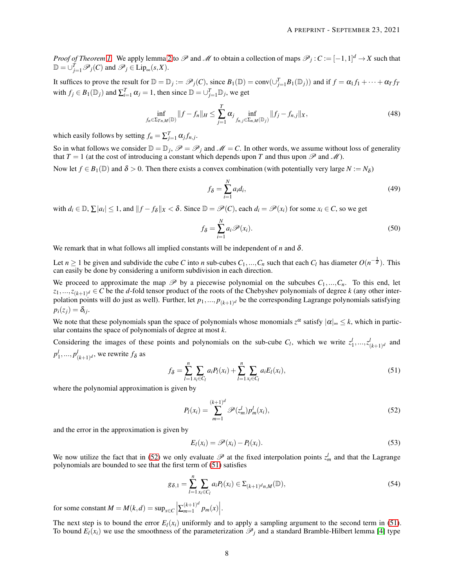*Proof of Theorem [1.](#page-6-0)* We apply lemma [2](#page-6-1) to  $\mathscr P$  and  $\mathscr M$  to obtain a collection of maps  $\mathscr P_j$  :  $C := [-1,1]^d \to X$  such that  $\mathbb{D} = \bigcup_{j=1}^{T} \mathscr{P}_j(C)$  and  $\mathscr{P}_j \in \text{Lip}_{\infty}(s, X)$ .

It suffices to prove the result for  $\mathbb{D} = \mathbb{D}_j := \mathscr{P}_j(C)$ , since  $B_1(\mathbb{D}) = \text{conv}(\cup_{j=1}^T B_1(\mathbb{D}_j))$  and if  $f = \alpha_1 f_1 + \cdots + \alpha_T f_T$ with  $f_j \in B_1(\mathbb{D}_j)$  and  $\sum_{i=1}^T \alpha_j = 1$ , then since  $\mathbb{D} = \bigcup_{j=1}^T \mathbb{D}_j$ , we get

$$
\inf_{f_n \in \Sigma_{Tn,M}(\mathbb{D})} \|f - f_n\|_H \le \sum_{j=1}^T \alpha_j \inf_{f_{n,j} \in \Sigma_{n,M}(\mathbb{D}_j)} \|f_j - f_{n,j}\|_X, \tag{48}
$$

which easily follows by setting  $f_n = \sum_{j=1}^T \alpha_j f_{n,j}$ .

So in what follows we consider  $\mathbb{D} = \mathbb{D}_j$ ,  $\mathscr{P} = \mathscr{P}_j$  and  $\mathscr{M} = C$ . In other words, we assume without loss of generality that  $T = 1$  (at the cost of introducing a constant which depends upon *T* and thus upon  $\mathscr P$  and  $\mathscr M$ ).

Now let  $f \in B_1(\mathbb{D})$  and  $\delta > 0$ . Then there exists a convex combination (with potentially very large  $N := N_\delta$ )

$$
f_{\delta} = \sum_{i=1}^{N} a_i d_i, \tag{49}
$$

with  $d_i \in \mathbb{D}$ ,  $\sum |a_i| \leq 1$ , and  $||f - f_\delta||_X < \delta$ . Since  $\mathbb{D} = \mathscr{P}(C)$ , each  $d_i = \mathscr{P}(x_i)$  for some  $x_i \in C$ , so we get

$$
f_{\delta} = \sum_{i=1}^{N} a_i \mathcal{P}(x_i).
$$
 (50)

We remark that in what follows all implied constants will be independent of *n* and  $\delta$ .

Let *n* ≥ 1 be given and subdivide the cube *C* into *n* sub-cubes  $C_1, ..., C_n$  such that each  $C_l$  has diameter  $O(n^{-\frac{1}{d}})$ . This can easily be done by considering a uniform subdivision in each direction.

We proceed to approximate the map  $\mathcal{P}$  by a piecewise polynomial on the subcubes  $C_1, ..., C_n$ . To this end, let *z*1,...,*z*(*k*+1) *<sup>d</sup>* ∈ *C* be the *d*-fold tensor product of the roots of the Chebyshev polynomials of degree *k* (any other interpolation points will do just as well). Further, let  $p_1,..., p_{(k+1)^d}$  be the corresponding Lagrange polynomials satisfying  $p_i(z_j) = \delta_{ij}$ .

We note that these polynomials span the space of polynomials whose monomials  $z^{\alpha}$  satisfy  $|\alpha|_{\infty} \leq k$ , which in particular contains the space of polynomials of degree at most *k*.

Considering the images of these points and polynomials on the sub-cube  $C_l$ , which we write  $z_1^l, ..., z_{(k+1)d}^l$  and  $p_1^l, ..., p_{(k+1)d}^l$ , we rewrite  $f_\delta$  as

<span id="page-7-1"></span>
$$
f_{\delta} = \sum_{l=1}^{n} \sum_{x_i \in C_l} a_i P_l(x_i) + \sum_{l=1}^{n} \sum_{x_i \in C_l} a_i E_l(x_i), \qquad (51)
$$

where the polynomial approximation is given by

<span id="page-7-0"></span>
$$
P_l(x_i) = \sum_{m=1}^{(k+1)^d} \mathcal{P}(z_m^l) p_m^l(x_i),
$$
\n(52)

and the error in the approximation is given by

$$
E_l(x_i) = \mathscr{P}(x_i) - P_l(x_i). \tag{53}
$$

We now utilize the fact that in [\(52\)](#page-7-0) we only evaluate  $\mathscr P$  at the fixed interpolation points  $z_m^l$  and that the Lagrange polynomials are bounded to see that the first term of [\(51\)](#page-7-1) satisfies

$$
g_{\delta,1} = \sum_{l=1}^{n} \sum_{x_i \in C_l} a_i P_l(x_i) \in \Sigma_{(k+1)^d n, M}(\mathbb{D}),
$$
\n(54)

for some constant  $M = M(k, d) = \sup_{x \in C} \left| \sum_{m=1}^{(k+1)^d} \right|$  $\binom{(k+1)^d}{m=1} p_m(x)$ .

The next step is to bound the error  $E_l(x_i)$  uniformly and to apply a sampling argument to the second term in [\(51\)](#page-7-1). To bound  $E_l(x_i)$  we use the smoothness of the parameterization  $\mathcal{P}_i$  and a standard Bramble-Hilbert lemma [\[4\]](#page-26-3) type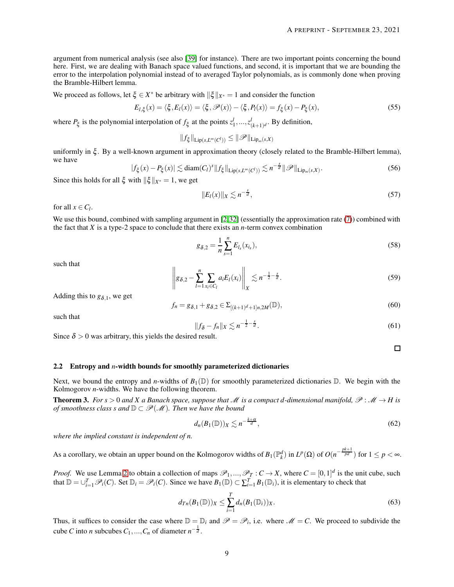argument from numerical analysis (see also [\[39\]](#page-28-3) for instance). There are two important points concerning the bound here. First, we are dealing with Banach space valued functions, and second, it is important that we are bounding the error to the interpolation polynomial instead of to averaged Taylor polynomials, as is commonly done when proving the Bramble-Hilbert lemma.

We proceed as follows, let  $\xi \in X^*$  be arbitrary with  $\|\xi\|_{X^*} = 1$  and consider the function

$$
E_{l,\xi}(x) = \langle \xi, E_l(x) \rangle = \langle \xi, \mathcal{P}(x) \rangle - \langle \xi, P_l(x) \rangle = f_{\xi}(x) - P_{\xi}(x), \tag{55}
$$

where  $P_{\xi}$  is the polynomial interpolation of  $f_{\xi}$  at the points  $z_1^l, ..., z_{(k+1)^d}^l$ . By definition,

 $||f_{\xi}||_{\text{Lip}(s,L^{\infty}(C^{l}))} \leq ||\mathscr{P}||_{\text{Lip}_{\infty}(s,X)}$ 

uniformly in ξ . By a well-known argument in approximation theory (closely related to the Bramble-Hilbert lemma), we have

$$
|f_{\xi}(x) - P_{\xi}(x)| \lesssim \text{diam}(C_l)^s \|f_{\xi}\|_{\text{Lip}(s, L^{\infty}(C^l))} \lesssim n^{-\frac{s}{d}} \|\mathscr{P}\|_{\text{Lip}_{\infty}(s, X)}.
$$
 (56)

Since this holds for all  $\xi$  with  $\|\xi\|_{X^*} = 1$ , we get

$$
||E_l(x)||_X \lesssim n^{-\frac{5}{d}},\tag{57}
$$

for all  $x \in C_l$ .

We use this bound, combined with sampling argument in [\[2,](#page-26-1)[32\]](#page-27-8) (essentially the approximation rate [\(7\)](#page-1-1)) combined with the fact that  $X$  is a type-2 space to conclude that there exists an  $n$ -term convex combination

$$
g_{\delta,2} = \frac{1}{n} \sum_{s=1}^{n} E_{l_s}(x_{i_s}),
$$
\n(58)

such that

$$
\left\| g_{\delta,2} - \sum_{l=1}^{n} \sum_{x_i \in C_l} a_i E_l(x_i) \right\|_X \lesssim n^{-\frac{1}{2} - \frac{s}{d}}.
$$
 (59)

Adding this to  $g_{\delta,1}$ , we get

$$
f_n = g_{\delta,1} + g_{\delta,2} \in \Sigma_{[(k+1)^d+1]n,2M}(\mathbb{D}),\tag{60}
$$

such that

$$
||f_{\delta} - f_n||_X \lesssim n^{-\frac{1}{2} - \frac{s}{d}}.
$$
\n(61)

Since  $\delta > 0$  was arbitrary, this yields the desired result.

 $\Box$ 

#### 2.2 Entropy and *n*-width bounds for smoothly parameterized dictionaries

Next, we bound the entropy and *n*-widths of  $B_1(\mathbb{D})$  for smoothly parameterized dictionaries  $\mathbb{D}$ . We begin with the Kolmogorov *n*-widths. We have the following theorem.

**Theorem 3.** *For s* > 0 *and X a Banach space, suppose that* M *is a compact d-dimensional manifold,*  $\mathcal{P}: \mathcal{M} \to H$  *is of smoothness class s and*  $\mathbb{D} \subset \mathcal{P}(\mathcal{M})$ *. Then we have the bound* 

$$
d_n(B_1(\mathbb{D}))_X \lesssim n^{-\frac{k+\alpha}{d}},\tag{62}
$$

*where the implied constant is independent of n.*

As a corollary, we obtain an upper bound on the Kolmogorov widths of  $B_1(\mathbb{P}^d_k)$  in  $L^p(\Omega)$  of  $O(n^{-\frac{pk+1}{pd}})$  for  $1 \leq p < \infty$ .

*Proof.* We use Lemma [2](#page-6-1) to obtain a collection of maps  $\mathcal{P}_1, ..., \mathcal{P}_T : C \to X$ , where  $C = [0,1]^d$  is the unit cube, such that  $\mathbb{D} = \bigcup_{i=1}^{T} \mathcal{P}_i(C)$ . Set  $\mathbb{D}_i = \mathcal{P}_i(C)$ . Since we have  $B_1(\mathbb{D}) \subset \sum_{i=1}^{T} B_1(\mathbb{D}_i)$ , it is elementary to check that

$$
d_{T_n}(B_1(\mathbb{D}))_X \le \sum_{i=1}^T d_n(B_1(\mathbb{D}_i))_X. \tag{63}
$$

Thus, it suffices to consider the case where  $\mathbb{D} = \mathbb{D}_i$  and  $\mathscr{P} = \mathscr{P}_i$ , i.e. where  $\mathscr{M} = C$ . We proceed to subdivide the cube *C* into *n* subcubes  $C_1, ..., C_n$  of diameter  $n^{-\frac{1}{d}}$ .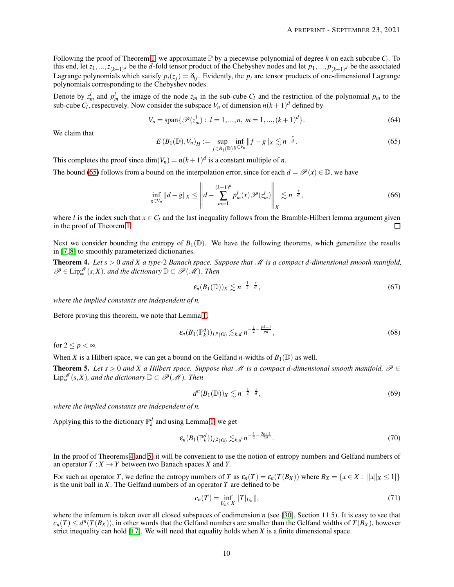Following the proof of Theorem [1,](#page-6-0) we approximate  $\mathbb P$  by a piecewise polynomial of degree *k* on each subcube  $C_i$ . To this end, let  $z_1, ..., z_{(k+1)^d}$  be the *d*-fold tensor product of the Chebyshev nodes and let  $p_1, ..., p_{(k+1)^d}$  be the associated Lagrange polynomials which satisfy  $p_i(z_j) = \delta_{ij}$ . Evidently, the  $p_i$  are tensor products of one-dimensional Lagrange polynomials corresponding to the Chebyshev nodes.

Denote by  $z_m^l$  and  $p_m^l$  the image of the node  $z_m$  in the sub-cube  $C_l$  and the restriction of the polynomial  $p_m$  to the sub-cube  $C_l$ , respectively. Now consider the subspace  $V_n$  of dimension  $n(k+1)^d$  defined by

$$
V_n = \text{span}\{\mathscr{P}(z_m^l): l = 1, ..., n, m = 1, ..., (k+1)^d\}.
$$
 (64)

<span id="page-9-0"></span>We claim that

$$
E(B_1(\mathbb{D}), V_n)_H := \sup_{f \in B_1(\mathbb{D})} \inf_{g \in V_n} ||f - g||_X \lesssim n^{-\frac{s}{d}}.
$$
 (65)

This completes the proof since  $\dim(V_n) = n(k+1)^d$  is a constant multiple of *n*.

The bound [\(65\)](#page-9-0) follows from a bound on the interpolation error, since for each  $d = \mathcal{P}(x) \in \mathbb{D}$ , we have

$$
\inf_{g \in V_n} \|d - g\|_X \le \left\| d - \sum_{m=1}^{(k+1)^d} p_m^l(x) \mathcal{P}(z_m^l) \right\|_X \lesssim n^{-\frac{s}{d}},\tag{66}
$$

where *l* is the index such that  $x \in C_l$  and the last inequality follows from the Bramble-Hilbert lemma argument given in the proof of Theorem 1. in the proof of Theorem [1.](#page-6-0)

Next we consider bounding the entropy of  $B_1(\mathbb{D})$ . We have the following theorems, which generalize the results in [\[7,](#page-27-20) [8\]](#page-27-21) to smoothly parameterized dictionaries.

<span id="page-9-1"></span>**Theorem 4.** Let  $s > 0$  and X a type-2 Banach space. Suppose that M is a compact d-dimensional smooth manifold,  $\mathscr{P} \in \text{Lip}^{\mathscr{M}}_{\infty}(s,X)$ , and the dictionary  $\mathbb{D} \subset \mathscr{P}(\mathscr{M})$ . Then

$$
\varepsilon_n(B_1(\mathbb{D}))_X \lesssim n^{-\frac{1}{2} - \frac{s}{d}},\tag{67}
$$

*where the implied constants are independent of n.*

Before proving this theorem, we note that Lemma [1.](#page-5-0)

$$
\varepsilon_n(B_1(\mathbb{P}_k^d))_{L^p(\Omega)} \lesssim_{k,d} n^{-\frac{1}{2}-\frac{pk+1}{pd}},
$$
\n(68)

for  $2 \leq p < \infty$ .

When *X* is a Hilbert space, we can get a bound on the Gelfand *n*-widths of  $B_1(\mathbb{D})$  as well.

<span id="page-9-2"></span>**Theorem 5.** *Let*  $s > 0$  *and* X *a* Hilbert space. Suppose that *M is a compact d-dimensional smooth manifold,*  $\mathcal{P} \in$  $\text{Lip}^{\mathscr{M}}_{\infty}(s, X)$ , and the dictionary  $\mathbb{D} \subset \mathscr{P}(\mathscr{M})$ . Then

<span id="page-9-3"></span>
$$
d^n(B_1(\mathbb{D}))_X \lesssim n^{-\frac{1}{2} - \frac{s}{d}},\tag{69}
$$

*where the implied constants are independent of n.*

Applying this to the dictionary  $\mathbb{P}_k^d$  and using Lemma [1,](#page-5-0) we get

$$
\varepsilon_n(B_1(\mathbb{P}_k^d))_{L^2(\Omega)} \lesssim_{k,d} n^{-\frac{1}{2}-\frac{2k+1}{2d}}.
$$
\n
$$
(70)
$$

In the proof of Theorems [4](#page-9-1) and [5,](#page-9-2) it will be convenient to use the notion of entropy numbers and Gelfand numbers of an operator  $T : X \to Y$  between two Banach spaces *X* and *Y*.

For such an operator *T*, we define the entropy numbers of *T* as  $\varepsilon_n(T) = \varepsilon_n(T(B_X))$  where  $B_X = \{x \in X : ||x||_X \le 1\}$ is the unit ball in *X*. The Gelfand numbers of an operator *T* are defined to be

$$
c_n(T) = \inf_{U_n \subset X} ||T|_{U_n}||,
$$
\n(71)

where the infemum is taken over all closed subspaces of codimension *n* (see [\[30\]](#page-27-23), Section 11.5). It is easy to see that  $c_n(T) \leq d^n(T(B_X))$ , in other words that the Gelfand numbers are smaller than the Gelfand widths of  $T(B_X)$ , however strict inequality can hold  $[17]$ . We will need that equality holds when  $X$  is a finite dimensional space.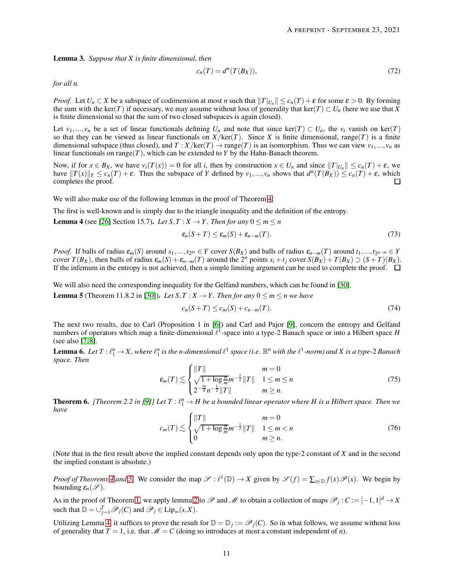<span id="page-10-2"></span>Lemma 3. *Suppose that X is finite dimensional, then*

$$
c_n(T) = d^n(T(B_X)),\tag{72}
$$

*for all n.*

*Proof.* Let  $U_n \subset X$  be a subspace of codimension at most *n* such that  $||T|_{U_n}|| \le c_n(T) + \varepsilon$  for some  $\varepsilon > 0$ . By forming the sum with the ker(*T*) if necessary, we may assume without loss of generality that ker(*T*)  $\subset U_n$  (here we use that *X* is finite dimensional so that the sum of two closed subspaces is again closed).

Let  $v_1, ..., v_n$  be a set of linear functionals defining  $U_n$  and note that since ker(*T*)  $\subset U_n$ , the  $v_i$  vanish on ker(*T*) so that they can be viewed as linear functionals on  $X/\text{ker}(T)$ . Since X is finite dimensional, range(T) is a finite dimensional subspace (thus closed), and  $T : X/\text{ker}(T) \to \text{range}(T)$  is an isomorphism. Thus we can view  $v_1, ..., v_n$  as linear functionals on range( $T$ ), which can be extended to  $Y$  by the Hahn-Banach theorem.

Now, if for  $x \in B_X$ , we have  $v_i(T(x)) = 0$  for all i, then by construction  $x \in U_n$  and since  $||T||_{U_n}|| \leq c_n(T) + \varepsilon$ , we have  $||T(x)||_Y \leq c_n(T) + \varepsilon$ . Thus the subspace of Y defined by  $v_1, ..., v_n$  shows that  $d^n(T(B_X)) \leq c_n(T) + \varepsilon$ , which completes the proof.

We will also make use of the following lemmas in the proof of Theorem [4.](#page-9-1)

The first is well-known and is simply due to the triangle inequality and the definition of the entropy.

<span id="page-10-0"></span>**Lemma 4** (see [\[26\]](#page-27-12) Section 15.7). *Let*  $S, T : X \rightarrow Y$ . *Then for any*  $0 \le m \le n$ 

$$
\varepsilon_n(S+T) \leq \varepsilon_m(S) + \varepsilon_{n-m}(T). \tag{73}
$$

*Proof.* If balls of radius  $\varepsilon_m(S)$  around  $s_1, ..., s_{2^m} \in Y$  cover  $S(B_X)$  and balls of radius  $\varepsilon_{n-m}(T)$  around  $t_1, ..., t_{2^{n-m}} \in Y$ cover  $T(B_X)$ , then balls of radius  $\varepsilon_m(S) + \varepsilon_{n-m}(T)$  around the  $2^n$  points  $s_i + t_j$  cover  $S(B_X) + T(B_X) \supset (S + T)(B_X)$ . If the infemum in the entropy is not achieved, then a simple limiting argument can be used to complete the proof.  $\Box$ 

<span id="page-10-3"></span>We will also need the corresponding inequality for the Gelfand numbers, which can be found in [\[30\]](#page-27-23). **Lemma 5** (Theorem 11.8.2 in [\[30\]](#page-27-23)). Let  $S, T : X \rightarrow Y$ . Then for any  $0 \le m \le n$  we have

$$
c_n(S+T) \le c_m(S) + c_{n-m}(T). \tag{74}
$$

The next two results, due to Carl (Proposition 1 in [\[6\]](#page-26-4)) and Carl and Pajor [\[9\]](#page-27-25), concern the entropy and Gelfand numbers of operators which map a finite-dimensional  $\ell^1$ -space into a type-2 Banach space or into a Hilbert space *H* (see also [\[7,](#page-27-20) [8\]](#page-27-21).

<span id="page-10-1"></span>**Lemma 6.** Let  $T: \ell_1^n \to X$ , where  $\ell_1^n$  is the n-dimensional  $\ell^1$  space (i.e.  $\mathbb{R}^n$  with the  $\ell^1$ -norm) and X is a type-2 Banach *space. Then*

$$
\varepsilon_m(T) \lesssim \begin{cases} ||T|| & m = 0\\ \sqrt{1 + \log \frac{n}{m}} m^{-\frac{1}{2}} ||T|| & 1 \le m \le n\\ 2^{-\frac{m}{n}} n^{-\frac{1}{2}} ||T|| & m \ge n. \end{cases}
$$
(75)

<span id="page-10-4"></span>**Theorem 6.** [Theorem 2.2 in [\[9\]](#page-27-25)] Let  $T: \ell_1^n \to H$  be a bounded linear operator where H is a Hilbert space. Then we *have*

$$
c_m(T) \lesssim \begin{cases} ||T|| & m = 0\\ \sqrt{1 + \log \frac{n}{m}} m^{-\frac{1}{2}} ||T|| & 1 \le m < n\\ 0 & m \ge n. \end{cases}
$$
 (76)

(Note that in the first result above the implied constant depends only upon the type-2 constant of *X* and in the second the implied constant is absolute.)

*Proof of Theorems* [4](#page-9-1) *and* [5.](#page-9-2) We consider the map  $\mathscr{S} : \ell^1(\mathbb{D}) \to X$  given by  $\mathscr{S}(f) = \sum_{x \in \mathbb{D}} f(x) \mathscr{P}(x)$ . We begin by bounding  $\varepsilon_n(\mathcal{S})$ .

As in the proof of Theorem [1,](#page-6-0) we apply lemma [2](#page-6-1) to  $\mathscr P$  and  $\mathscr M$  to obtain a collection of maps  $\mathscr P_j$ :  $C := [-1,1]^d \to X$ such that  $\mathbb{D} = \bigcup_{j=1}^{T} \mathscr{P}_j(C)$  and  $\mathscr{P}_j \in \text{Lip}_{\infty}(s, X)$ .

Utilizing Lemma [4,](#page-10-0) it suffices to prove the result for  $\mathbb{D} = \mathbb{D}_j := \mathscr{P}_j(C)$ . So in what follows, we assume without loss of generality that  $T = 1$ , i.e. that  $M = C$  (doing so introduces at most a constant independent of *n*).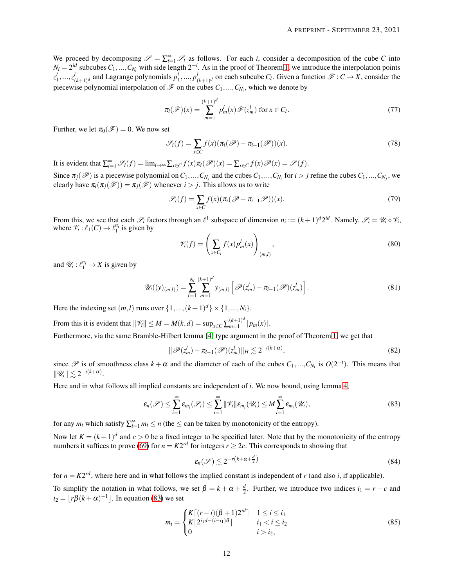We proceed by decomposing  $\mathscr{S} = \sum_{i=1}^{\infty} \mathscr{S}_i$  as follows. For each *i*, consider a decomposition of the cube *C* into  $N_i = 2^{id}$  subcubes  $C_1, ..., C_{N_i}$  with side length  $2^{-i}$ . As in the proof of Theorem [1,](#page-6-0) we introduce the interpolation points  $z_1^l,...,z_{(k+1)^d}^l$  and Lagrange polynomials  $p_1^l,...,p_{(k+1)^d}^l$  on each subcube  $C_l$ . Given a function  $\mathscr{F}:C\to X$ , consider the piecewise polynomial interpolation of  $\mathscr F$  on the cubes  $C_1, ..., C_{N_i}$ , which we denote by

$$
\pi_i(\mathscr{F})(x) = \sum_{m=1}^{(k+1)^d} p_m^l(x) \mathscr{F}(z_m^l) \text{ for } x \in C_l.
$$
 (77)

Further, we let  $\pi_0(\mathscr{F}) = 0$ . We now set

$$
\mathscr{S}_i(f) = \sum_{x \in C} f(x) (\pi_i(\mathscr{P}) - \pi_{i-1}(\mathscr{P}))(x).
$$
\n(78)

It is evident that  $\sum_{i=1}^{\infty}$   $\mathscr{S}_i(f) = \lim_{i \to \infty} \sum_{x \in C} f(x) \pi_i(\mathscr{P})(x) = \sum_{x \in C} f(x) \mathscr{P}(x) = \mathscr{S}(f)$ .

Since  $\pi_j(\mathscr{P})$  is a piecewise polynomial on  $C_1, ..., C_{N_j}$  and the cubes  $C_1, ..., C_{N_i}$  for  $i > j$  refine the cubes  $C_1, ..., C_{N_j}$ , we clearly have  $\pi_i(\pi_i(\mathcal{F})) = \pi_i(\mathcal{F})$  whenever  $i > j$ . This allows us to write

$$
\mathcal{S}_i(f) = \sum_{x \in C} f(x) (\pi_i (\mathcal{P} - \pi_{i-1} \mathcal{P})) (x).
$$
 (79)

From this, we see that each  $\mathscr{S}_i$  factors through an  $\ell^1$  subspace of dimension  $n_i := (k+1)^d 2^{id}$ . Namely,  $\mathscr{S}_i = \mathscr{U}_i \circ \mathscr{V}_i$ , where  $\mathcal{V}_i : \ell_1(C) \to \ell_1^{n_i}$  is given by

$$
\mathscr{V}_i(f) = \left(\sum_{x \in C_l} f(x) p_m^l(x)\right)_{(m,l)},\tag{80}
$$

and  $\mathcal{U}_i: \ell_1^{n_i} \to X$  is given by

$$
\mathscr{U}_{i}((y)_{(m,l)}) = \sum_{l=1}^{N_{i}} \sum_{m=1}^{(k+1)^{d}} y_{(m,l)} \left[ \mathscr{P}(z_{m}^{l}) - \pi_{i-1}(\mathscr{P})(z_{m}^{l}) \right]. \tag{81}
$$

Here the indexing set  $(m, l)$  runs over  $\{1, ..., (k+1)^d\} \times \{1, ..., N_i\}.$ 

From this it is evident that  $\|\mathcal{V}_i\| \leq M = M(k,d) = \sup_{x \in C} \sum_{m=1}^{(k+1)^d}$  $\binom{k+1}{m+1}$  |  $p_m(x)$ |.

Furthermore, via the same Bramble-Hilbert lemma [\[4\]](#page-26-3) type argument in the proof of Theorem [1,](#page-6-0) we get that

$$
\|\mathscr{P}(z_m^l) - \pi_{i-1}(\mathscr{P})(z_m^l)\|_H \lesssim 2^{-i(k+\alpha)},\tag{82}
$$

since  $\mathscr P$  is of smoothness class  $k + \alpha$  and the diameter of each of the cubes  $C_1, ..., C_{N_i}$  is  $O(2^{-i})$ . This means that  $\|\mathscr{U}_i\| \lesssim 2^{-i(k+\alpha)}.$ 

Here and in what follows all implied constants are independent of *i*. We now bound, using lemma [4,](#page-10-0)

$$
\varepsilon_n(\mathscr{S}) \leq \sum_{i=1}^{\infty} \varepsilon_{m_i}(\mathscr{S}_i) \leq \sum_{i=1}^{\infty} \|\mathscr{V}_i\| \varepsilon_{m_i}(\mathscr{U}_i) \leq M \sum_{i=1}^{\infty} \varepsilon_{m_i}(\mathscr{U}_i), \qquad (83)
$$

for any  $m_i$  which satisfy  $\sum_{i=1}^{\infty} m_i \le n$  (the  $\le$  can be taken by monotonicity of the entropy).

Now let  $K = (k+1)^d$  and  $c > 0$  be a fixed integer to be specified later. Note that by the monotonicity of the entropy numbers it suffices to prove [\(69\)](#page-9-3) for  $n = K2^{rd}$  for integers  $r \ge 2c$ . This corresponds to showing that

<span id="page-11-0"></span>
$$
\varepsilon_n(\mathscr{S}) \lesssim 2^{-r(k+\alpha+\frac{d}{2})} \tag{84}
$$

for  $n = K2^{rd}$ , where here and in what follows the implied constant is independent of *r* (and also *i*, if applicable).

To simplify the notation in what follows, we set  $\beta = k + \alpha + \frac{d}{2}$ . Further, we introduce two indices  $i_1 = r - c$  and  $i_2 = \lfloor r\beta(k+\alpha)^{-1} \rfloor$ . In equation [\(83\)](#page-11-0) we set

<span id="page-11-1"></span>
$$
m_i = \begin{cases} K\lceil (r-i)(\beta+1)2^{id} \rceil & 1 \le i \le i_1 \\ K\lfloor 2^{i_1 d - (i-i_1)\delta} \rfloor & i_1 < i \le i_2 \\ 0 & i > i_2, \end{cases} \tag{85}
$$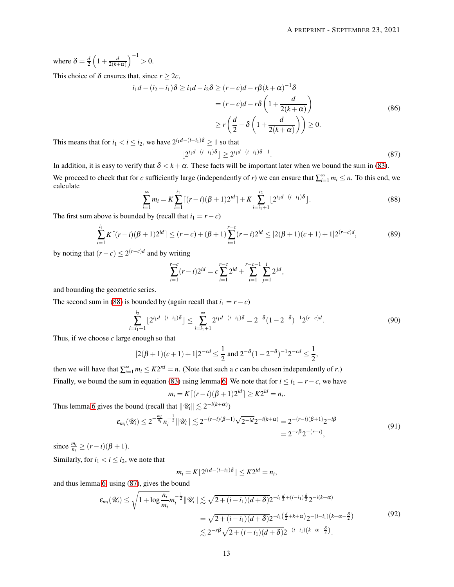where  $\delta = \frac{d}{2} \left( 1 + \frac{d}{2(k+\alpha)} \right)^{-1} > 0.$ 

This choice of  $\delta$  ensures that, since  $r \geq 2c$ ,

$$
i_1d - (i_2 - i_1)\delta \ge i_1d - i_2\delta \ge (r - c)d - r\beta(k + \alpha)^{-1}\delta
$$
  
=  $(r - c)d - r\delta\left(1 + \frac{d}{2(k + \alpha)}\right)$   

$$
\ge r\left(\frac{d}{2} - \delta\left(1 + \frac{d}{2(k + \alpha)}\right)\right) \ge 0.
$$
 (86)

This means that for  $i_1 < i \leq i_2$ , we have  $2^{i_1d-(i-i_1)\delta} \geq 1$  so that

<span id="page-12-1"></span>
$$
\lfloor 2^{i_1d - (i-i_1)\delta} \rfloor \ge 2^{i_1d - (i-i_1)\delta - 1}.
$$
\n
$$
(87)
$$

In addition, it is easy to verify that  $\delta < k + \alpha$ . These facts will be important later when we bound the sum in [\(83\)](#page-11-0).

<span id="page-12-0"></span>We proceed to check that for *c* sufficiently large (independently of *r*) we can ensure that  $\sum_{i=1}^{\infty} m_i \leq n$ . To this end, we calculate

$$
\sum_{i=1}^{\infty} m_i = K \sum_{i=1}^{i_1} \left[ (r-i)(\beta + 1)2^{id} \right] + K \sum_{i=i_1+1}^{i_2} \left[ 2^{i_1 d - (i-i_1)\delta} \right].
$$
\n(88)

The first sum above is bounded by (recall that  $i_1 = r - c$ )

$$
\sum_{i=1}^{i_1} K\lceil (r-i)(\beta+1)2^{id}\rceil \le (r-c) + (\beta+1) \sum_{i=1}^{r-c} (r-i)2^{id} \le [2(\beta+1)(c+1) + 1]2^{(r-c)d},\tag{89}
$$

by noting that  $(r - c) \leq 2^{(r - c)d}$  and by writing

$$
\sum_{i=1}^{r-c} (r-i)2^{id} = c \sum_{i=1}^{r-c} 2^{id} + \sum_{i=1}^{r-c-1} \sum_{j=1}^{i} 2^{jd},
$$

and bounding the geometric series.

The second sum in [\(88\)](#page-12-0) is bounded by (again recall that  $i_1 = r - c$ )

$$
\sum_{i=i_1+1}^{i_2} \lfloor 2^{i_1 d - (i-i_1)\delta} \rfloor \le \sum_{i=i_1+1}^{\infty} 2^{i_1 d - (i-i_1)\delta} = 2^{-\delta} (1 - 2^{-\delta})^{-1} 2^{(r-c)d}.
$$
\n(90)

Thus, if we choose *c* large enough so that

$$
[2(\beta+1)(c+1)+1]2^{-cd} \le \frac{1}{2} \text{ and } 2^{-\delta}(1-2^{-\delta})^{-1}2^{-cd} \le \frac{1}{2},
$$

then we will have that  $\sum_{i=1}^{\infty} m_i \leq K 2^{rd} = n$ . (Note that such a *c* can be chosen independently of *r*.)

Finally, we bound the sum in equation [\(83\)](#page-11-0) using lemma [6.](#page-10-1) We note that for  $i \le i_1 = r - c$ , we have

$$
m_i = K\lceil (r-i)(\beta+1)2^{id}\rceil \ge K2^{id} = n_i.
$$

Thus lemma [6](#page-10-1) gives the bound (recall that  $\|\mathscr{U}_i\| \lesssim 2^{-i(k+\alpha)}$ )

$$
\varepsilon_{m_i}(\mathscr{U}_i) \leq 2^{-\frac{m_i}{n_i}} n_i^{-\frac{1}{2}} \|\mathscr{U}_i\| \lesssim 2^{-(r-i)(\beta+1)} \sqrt{2^{-id}} 2^{-i(k+\alpha)} = 2^{-(r-i)(\beta+1)} 2^{-i\beta} = 2^{-r\beta} 2^{-(r-i)},\tag{91}
$$

since  $\frac{m_i}{n_i} \ge (r - i)(\beta + 1)$ .

Similarly, for  $i_1 < i \leq i_2$ , we note that

$$
m_i = K \lfloor 2^{i_1 d - (i - i_1) \delta} \rfloor \leq K 2^{id} = n_i,
$$

and thus lemma [6,](#page-10-1) using [\(87\)](#page-12-1), gives the bound

$$
\mathcal{E}_{m_i}(\mathcal{U}_i) \leq \sqrt{1 + \log \frac{n_i}{m_i}} m_i^{-\frac{1}{2}} \|\mathcal{U}_i\| \lesssim \sqrt{2 + (i - i_1)(d + \delta)} 2^{-i_1 \frac{d}{2} + (i - i_1) \frac{\delta}{2}} 2^{-i(k + \alpha)}
$$
  
=  $\sqrt{2 + (i - i_1)(d + \delta)} 2^{-i_1 (\frac{d}{2} + k + \alpha)} 2^{-(i - i_1)(k + \alpha - \frac{\delta}{2})}$  (92)  

$$
\lesssim 2^{-r\beta} \sqrt{2 + (i - i_1)(d + \delta)} 2^{-(i - i_1)(k + \alpha - \frac{\delta}{2})}.
$$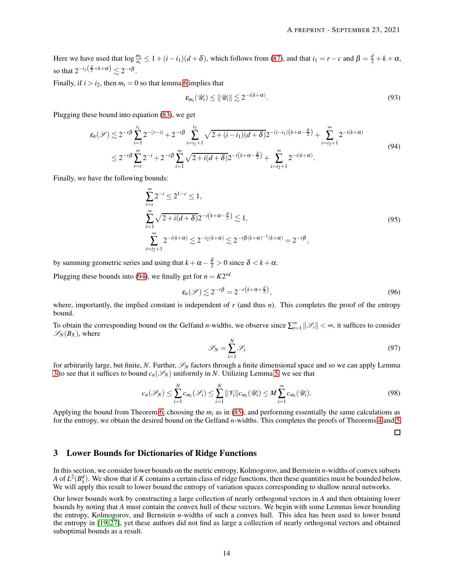Here we have used that  $\log \frac{m_i}{n_i} \leq 1 + (i - i_1)(d + \delta)$ , which follows from [\(87\)](#page-12-1), and that  $i_1 = r - c$  and  $\beta = \frac{d}{2} + k + \alpha$ , so that  $2^{-i_1(\frac{d}{2}+k+\alpha)} \lesssim 2^{-r\beta}$ .

Finally, if  $i > i_2$ , then  $m_i = 0$  so that lemma [6](#page-10-1) implies that

<span id="page-13-0"></span>
$$
\varepsilon_{m_i}(\mathscr{U}_i) \leq \|\mathscr{U}_i\| \lesssim 2^{-i(k+\alpha)}.
$$
\n(93)

Plugging these bound into equation [\(83\)](#page-11-0), we get

$$
\varepsilon_n(\mathscr{S}) \lesssim 2^{-r\beta} \sum_{i=1}^{i_1} 2^{-(r-i)} + 2^{-r\beta} \sum_{i=i_1+1}^{i_2} \sqrt{2 + (i-i_1)(d+\delta)} 2^{-(i-i_1)(k+\alpha-\frac{\delta}{2})} + \sum_{i=i_2+1}^{\infty} 2^{-i(k+\alpha)}
$$
  

$$
\leq 2^{-r\beta} \sum_{i=c}^{\infty} 2^{-i} + 2^{-r\beta} \sum_{i=1}^{\infty} \sqrt{2 + i(d+\delta)} 2^{-i(k+\alpha-\frac{\delta}{2})} + \sum_{i=i_2+1}^{\infty} 2^{-i(k+\alpha)}.
$$
\n(94)

Finally, we have the following bounds:

$$
\sum_{i=c}^{\infty} 2^{-i} \le 2^{1-c} \le 1,
$$
\n
$$
\sum_{i=1}^{\infty} \sqrt{2 + i(d+\delta)} 2^{-i(k+\alpha-\frac{\delta}{2})} \lesssim 1,
$$
\n
$$
\sum_{i=i_2+1}^{\infty} 2^{-i(k+\alpha)} \lesssim 2^{-i_2(k+\alpha)} \lesssim 2^{-r\beta(k+\alpha)-1(k+\alpha)} = 2^{-r\beta},
$$
\n(95)

by summing geometric series and using that  $k + \alpha - \frac{\delta}{2} > 0$  since  $\delta < k + \alpha$ .

Plugging these bounds into [\(94\)](#page-13-0), we finally get for  $n = K2^{rd}$ 

$$
\varepsilon_n(\mathscr{S}) \lesssim 2^{-r\beta} = 2^{-r\left(k + \alpha + \frac{d}{2}\right)},\tag{96}
$$

where, importantly, the implied constant is independent of  $r$  (and thus  $n$ ). This completes the proof of the entropy bound.

To obtain the corresponding bound on the Gelfand *n*-widths, we observe since  $\sum_{i=1}^{\infty} ||\mathcal{S}_i|| < \infty$ , it suffices to consider  $\mathscr{S}_N(B_X)$ , where

$$
\mathcal{S}_N = \sum_{i=1}^N \mathcal{S}_i \tag{97}
$$

for arbitrarily large, but finite, N. Further,  $\mathscr{S}_N$  factors through a finite dimensional space and so we can apply Lemma [3](#page-10-2) to see that it suffices to bound  $c_n(\mathcal{S}_N)$  uniformly in *N*. Utilizing Lemma [5,](#page-10-3) we see that

$$
c_n(\mathscr{S}_N) \leq \sum_{i=1}^N c_{m_i}(\mathscr{S}_i) \leq \sum_{i=1}^N \|\mathscr{V}_i\| c_{m_i}(\mathscr{U}_i) \leq M \sum_{i=1}^\infty c_{m_i}(\mathscr{U}_i).
$$
\n(98)

Applying the bound from Theorem [6,](#page-10-4) choosing the  $m_i$  as in [\(85\)](#page-11-1), and performing essentially the same calculations as for the entropy, we obtain the desired bound on the Gelfand *n*-widths. This completes the proofs of Theorems [4](#page-9-1) and [5.](#page-9-2)

□

## 3 Lower Bounds for Dictionaries of Ridge Functions

In this section, we consider lower bounds on the metric entropy, Kolmogorov, and Bernstein *n*-widths of convex subsets *A* of  $L^2(B_1^d)$ . We show that if *K* contains a certain class of ridge functions, then these quantities must be bounded below. We will apply this result to lower bound the entropy of variation spaces corresponding to shallow neural networks.

Our lower bounds work by constructing a large collection of nearly orthogonal vectors in *A* and then obtaining lower bounds by noting that *A* must contain the convex hull of these vectors. We begin with some Lemmas lower bounding the entropy, Kolmogorov, and Bernstein *n*-widths of such a convex hull. This idea has been used to lower bound the entropy in [\[19,](#page-27-1) [27\]](#page-27-10), yet these authors did not find as large a collection of nearly orthogonal vectors and obtained suboptimal bounds as a result.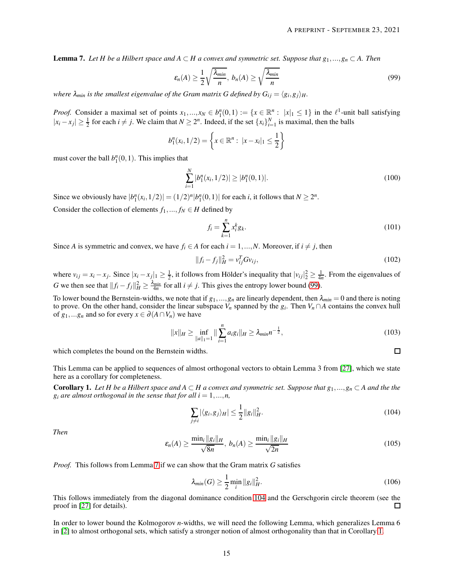<span id="page-14-1"></span>**Lemma 7.** *Let H be a Hilbert space and A* ⊂ *H a convex and symmetric set. Suppose that*  $g_1, ..., g_n$  ⊂ *A. Then* 

<span id="page-14-0"></span>
$$
\varepsilon_n(A) \ge \frac{1}{2} \sqrt{\frac{\lambda_{min}}{n}}, \ b_n(A) \ge \sqrt{\frac{\lambda_{min}}{n}}
$$
\n(99)

*where*  $\lambda_{min}$  *is the smallest eigenvalue of the Gram matrix G defined by*  $G_{ij} = \langle g_i, g_j \rangle_H$ *.* 

*Proof.* Consider a maximal set of points  $x_1,...,x_N \in b_1^n(0,1) := \{x \in \mathbb{R}^n : |x|_1 \leq 1\}$  in the  $\ell^1$ -unit ball satisfying  $|x_i - x_j|$  ≥  $\frac{1}{2}$  for each  $i \neq j$ . We claim that  $N \geq 2^n$ . Indeed, if the set  $\{x_i\}_{i=1}^N$  is maximal, then the balls

$$
b_1^n(x_i, 1/2) = \left\{ x \in \mathbb{R}^n : \ |x - x_i|_1 \le \frac{1}{2} \right\}
$$

must cover the ball  $b_1^n(0,1)$ . This implies that

$$
\sum_{i=1}^{N} |b_1^n(x_i, 1/2)| \ge |b_1^n(0, 1)|. \tag{100}
$$

Since we obviously have  $|b_1^n(x_i, 1/2)| = (1/2)^n |b_1^n(0,1)|$  for each *i*, it follows that  $N \ge 2^n$ .

Consider the collection of elements  $f_1, ..., f_N \in H$  defined by

$$
f_i = \sum_{k=1}^{n} x_i^k g_k.
$$
 (101)

Since *A* is symmetric and convex, we have  $f_i \in A$  for each  $i = 1, ..., N$ . Moreover, if  $i \neq j$ , then

$$
||f_i - f_j||_H^2 = v_{ij}^T G v_{ij},
$$
\n(102)

where  $v_{ij} = x_i - x_j$ . Since  $|x_i - x_j|_1 \ge \frac{1}{2}$ , it follows from Hölder's inequality that  $|v_{ij}|_2^2 \ge \frac{1}{4n}$ . From the eigenvalues of *G* we then see that  $||f_i - f_j||_H^2 \ge \frac{\lambda_{min}}{4n}$  for all  $i \ne j$ . This gives the entropy lower bound [\(99\)](#page-14-0).

To lower bound the Bernstein-widths, we note that if  $g_1, ..., g_n$  are linearly dependent, then  $\lambda_{min} = 0$  and there is noting to prove. On the other hand, consider the linear subspace  $V_n$  spanned by the  $g_i$ . Then  $V_n \cap A$  contains the convex hull of  $g_1,...g_n$  and so for every  $x \in \partial (A \cap V_n)$  we have

$$
||x||_{H} \ge \inf_{||a||_{1}=1} ||\sum_{i=1}^{n} a_{i}g_{i}||_{H} \ge \lambda_{min} n^{-\frac{1}{2}},
$$
\n(103)

 $\Box$ 

which completes the bound on the Bernstein widths.

This Lemma can be applied to sequences of almost orthogonal vectors to obtain Lemma 3 from [\[27\]](#page-27-10), which we state here as a corollary for completeness.

<span id="page-14-3"></span>**Corollary 1.** Let H be a Hilbert space and  $A \subset H$  a convex and symmetric set. Suppose that  $g_1,...,g_n \subset A$  and the the  $g_i$  *are almost orthogonal in the sense that for all i* = 1,...,*n*,

<span id="page-14-2"></span>
$$
\sum_{j\neq i} |\langle g_i, g_j \rangle_H| \le \frac{1}{2} ||g_i||_H^2. \tag{104}
$$

*Then*

$$
\varepsilon_n(A) \ge \frac{\min_i \|g_i\|_H}{\sqrt{8n}}, \ b_n(A) \ge \frac{\min_i \|g_i\|_H}{\sqrt{2n}} \tag{105}
$$

*Proof.* This follows from Lemma [7](#page-14-1) if we can show that the Gram matrix *G* satisfies

$$
\lambda_{min}(G) \ge \frac{1}{2} \min_{i} \|g_i\|_H^2.
$$
 (106)

This follows immediately from the diagonal dominance condition [104](#page-14-2) and the Gerschgorin circle theorem (see the proof in [\[27\]](#page-27-10) for details).  $\Box$ 

In order to lower bound the Kolmogorov *n*-widths, we will need the following Lemma, which generalizes Lemma 6 in [\[2\]](#page-26-1) to almost orthogonal sets, which satisfy a stronger notion of almost orthogonality than that in Corollary [1.](#page-14-3)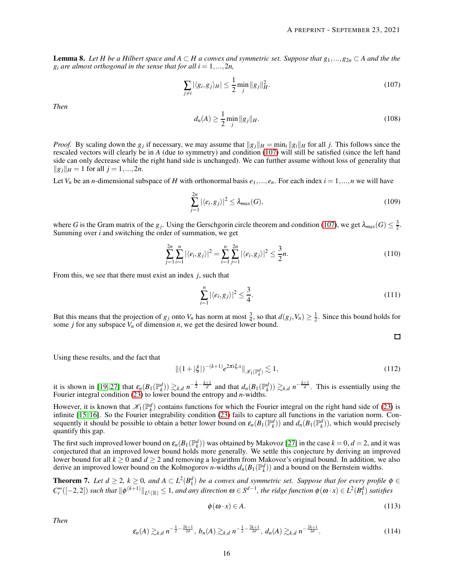<span id="page-15-2"></span>**Lemma 8.** Let *H* be a Hilbert space and  $A ⊂ H$  a convex and symmetric set. Suppose that  $g_1, ..., g_{2n} ⊂ A$  and the the  $g_i$  *are almost orthogonal in the sense that for all i* = 1,...,2*n*,

<span id="page-15-0"></span>
$$
\sum_{j \neq i} |\langle g_i, g_j \rangle_H| \le \frac{1}{2} \min_j \|g_j\|_H^2.
$$
 (107)

*Then*

$$
d_n(A) \ge \frac{1}{2} \min_j \|g_j\|_H. \tag{108}
$$

*Proof.* By scaling down the *g<sub>j</sub>* if necessary, we may assume that  $||g_j||_H = \min_i ||g_i||_H$  for all *j*. This follows since the rescaled vectors will clearly be in *A* (due to symmetry) and condition [\(107\)](#page-15-0) will still be satisfied (since the left hand side can only decrease while the right hand side is unchanged). We can further assume without loss of generality that  $\|g_j\|_H = 1$  for all  $j = 1, ..., 2n$ .

Let  $V_n$  be an *n*-dimensional subspace of *H* with orthonormal basis  $e_1, ..., e_n$ . For each index  $i = 1, ..., n$  we will have

$$
\sum_{j=1}^{2n} |\langle e_i, g_j \rangle|^2 \le \lambda_{max}(G),\tag{109}
$$

where *G* is the Gram matrix of the *g<sub>j</sub>*. Using the Gerschgorin circle theorem and condition [\(107\)](#page-15-0), we get  $\lambda_{max}(G) \leq \frac{3}{2}$ . Summing over *i* and switching the order of summation, we get

$$
\sum_{j=1}^{2n} \sum_{i=1}^{n} |\langle e_i, g_j \rangle|^2 = \sum_{i=1}^{n} \sum_{j=1}^{2n} |\langle e_i, g_j \rangle|^2 \le \frac{3}{2}n.
$$
 (110)

From this, we see that there must exist an index *j*, such that

$$
\sum_{i=1}^{n} |\langle e_i, g_j \rangle|^2 \le \frac{3}{4}.\tag{111}
$$

But this means that the projection of  $g_j$  onto  $V_n$  has norm at most  $\frac{3}{4}$ , so that  $d(g_j, V_n) \geq \frac{1}{2}$ . Since this bound holds for some *j* for any subspace  $V_n$  of dimension  $n$ , we get the desired lower bound.

 $\Box$ 

Using these results, and the fact that

$$
\|(1+|\xi|)^{-(k+1)}e^{2\pi i\xi x}\|_{\mathscr{K}_1(\mathbb{P}_k^d)} \lesssim 1,
$$
\n(112)

it is shown in [\[19,](#page-27-1) [27\]](#page-27-10) that  $\varepsilon_n(B_1(\mathbb{P}_k^d)) \gtrsim_{k,d} n^{-\frac{1}{2}-\frac{k+1}{d}}$  and that  $d_n(B_1(\mathbb{P}_k^d)) \gtrsim_{k,d} n^{-\frac{k+1}{d}}$ . This is essentially using the Fourier integral condition [\(23\)](#page-3-0) to lower bound the entropy and *n*-widths.

However, it is known that  $\mathcal{K}_1(\mathbb{P}_k^d)$  contains functions for which the Fourier integral on the right hand side of [\(23\)](#page-3-0) is infinite [\[15,](#page-27-19) [16\]](#page-27-5). So the Fourier integrability condition [\(23\)](#page-3-0) fails to capture all functions in the variation norm. Consequently it should be possible to obtain a better lower bound on  $\varepsilon_n(B_1(\mathbb{P}_k^d))$  and  $d_n(B_1(\mathbb{P}_k^d))$ , which would precisely quantify this gap.

The first such improved lower bound on  $\varepsilon_n(B_1(\mathbb{P}_k^d))$  was obtained by Makovoz [\[27\]](#page-27-10) in the case  $k = 0, d = 2$ , and it was conjectured that an improved lower bound holds more generally. We settle this conjecture by deriving an improved lower bound for all  $k \ge 0$  and  $d \ge 2$  and removing a logarithm from Makovoz's original bound. In addition, we also derive an improved lower bound on the Kolmogorov *n*-widths  $d_n(B_1(\mathbb{P}^d_k))$  and a bound on the Bernstein widths.

<span id="page-15-1"></span>**Theorem 7.** Let  $d \geq 2$ ,  $k \geq 0$ , and  $A \subset L^2(B_1^d)$  be a convex and symmetric set. Suppose that for every profile  $\phi \in$  $C_c^{\infty}([-2,2])$  such that  $\|\phi^{(k+1)}\|_{L^1(\mathbb{R})}\leq 1$ , and any direction  $\omega \in S^{d-1}$ , the ridge function  $\phi(\omega \cdot x) \in L^2(B_1^d)$  satisfies

$$
\phi(\omega \cdot x) \in A. \tag{113}
$$

*Then*

$$
\varepsilon_n(A) \gtrsim_{k,d} n^{-\frac{1}{2} - \frac{2k+1}{2d}}, \ b_n(A) \gtrsim_{k,d} n^{-\frac{1}{2} - \frac{2k+1}{2d}}, \ d_n(A) \gtrsim_{k,d} n^{-\frac{2k+1}{2d}}.
$$
 (114)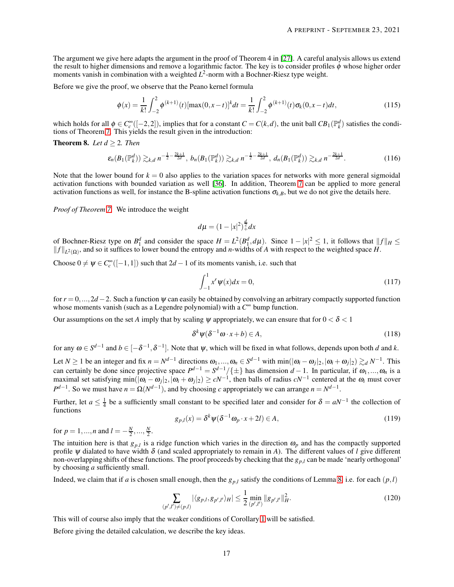The argument we give here adapts the argument in the proof of Theorem 4 in [\[27\]](#page-27-10). A careful analysis allows us extend the result to higher dimensions and remove a logarithmic factor. The key is to consider profiles φ whose higher order moments vanish in combination with a weighted  $L^2$ -norm with a Bochner-Riesz type weight.

Before we give the proof, we observe that the Peano kernel formula

$$
\phi(x) = \frac{1}{k!} \int_{-2}^{2} \phi^{(k+1)}(t) [\max(0, x - t)]^k dt = \frac{1}{k!} \int_{-2}^{2} \phi^{(k+1)}(t) \sigma_k(0, x - t) dt,
$$
\n(115)

which holds for all  $\phi \in C_c^{\infty}([-2,2])$ , implies that for a constant  $C = C(k,d)$ , the unit ball  $CB_1(\mathbb{P}_k^d)$  satisfies the conditions of Theorem [7.](#page-15-1) This yields the result given in the introduction:

**Theorem 8.** *Let*  $d > 2$ *. Then* 

$$
\varepsilon_n(B_1(\mathbb{P}_k^d)) \gtrsim_{k,d} n^{-\frac{1}{2} - \frac{2k+1}{2d}}, \ b_n(B_1(\mathbb{P}_k^d)) \gtrsim_{k,d} n^{-\frac{1}{2} - \frac{2k+1}{2d}}, \ d_n(B_1(\mathbb{P}_k^d)) \gtrsim_{k,d} n^{-\frac{2k+1}{2d}}.
$$
 (116)

Note that the lower bound for  $k = 0$  also applies to the variation spaces for networks with more general sigmoidal activation functions with bounded variation as well [\[36\]](#page-28-1). In addition, Theorem [7](#page-15-1) can be applied to more general activation functions as well, for instance the B-spline activation functions  $\sigma_{k,B}$ , but we do not give the details here.

*Proof of Theorem [7.](#page-15-1)* We introduce the weight

$$
d\mu = (1 - |x|^2)^{\frac{d}{2}} dx
$$

of Bochner-Riesz type on  $B_1^d$  and consider the space  $H = L^2(B_1^d, d\mu)$ . Since  $1 - |x|^2 \le 1$ , it follows that  $||f||_H \le$  $||f||_{L^2(\Omega)}$ , and so it suffices to lower bound the entropy and *n*-widths of *A* with respect to the weighted space *H*.

Choose  $0 \neq \psi \in C_c^{\infty}([-1,1])$  such that  $2d-1$  of its moments vanish, i.e. such that

$$
\int_{-1}^{1} x^r \psi(x) dx = 0,
$$
\n(117)

for *r* = 0,...,2*d* −2. Such a function <sup>ψ</sup> can easily be obtained by convolving an arbitrary compactly supported function whose moments vanish (such as a Legendre polynomial) with a *C* <sup>∞</sup> bump function.

Our assumptions on the set *A* imply that by scaling  $\psi$  appropriately, we can ensure that for  $0 < \delta < 1$ 

$$
\delta^k \psi(\delta^{-1} \omega \cdot x + b) \in A,\tag{118}
$$

for any  $\omega \in S^{d-1}$  and  $b \in [-\delta^{-1}, \delta^{-1}]$ . Note that  $\psi$ , which will be fixed in what follows, depends upon both *d* and *k*.

Let  $N \ge 1$  be an integer and fix  $n = N^{d-1}$  directions  $\omega_1, ..., \omega_n \in S^{d-1}$  with  $\min(|\omega_i - \omega_j|_2, |\omega_i + \omega_j|_2) \gtrsim_d N^{-1}$ . This can certainly be done since projective space  $P^{d-1} = S^{d-1}/\{\pm\}$  has dimension  $d-1$ . In particular, if  $\omega_1, ..., \omega_n$  is a maximal set satisfying min( $|\omega_i - \omega_j|_2$ ,  $|\omega_i + \omega_j|_2$ ) ≥  $cN^{-1}$ , then balls of radius  $cN^{-1}$  centered at the  $\omega_i$  must cover  $P^{d-1}$ . So we must have  $n = \Omega(N^{d-1})$ , and by choosing *c* appropriately we can arrange  $n = N^{d-1}$ .

Further, let  $a \leq \frac{1}{4}$  be a sufficiently small constant to be specified later and consider for  $\delta = aN^{-1}$  the collection of functions

$$
g_{p,l}(x) = \delta^k \psi(\delta^{-1} \omega_p \cdot x + 2l) \in A,\tag{119}
$$

for  $p = 1, ..., n$  and  $l = -\frac{N}{2}, ..., \frac{N}{2}$ .

The intuition here is that  $g_{p,l}$  is a ridge function which varies in the direction  $\omega_p$  and has the compactly supported profile  $\psi$  dialated to have width  $\delta$  (and scaled appropriately to remain in *A*). The different values of *l* give different non-overlapping shifts of these functions. The proof proceeds by checking that the *gp*,*<sup>l</sup>* can be made 'nearly orthogonal' by choosing *a* sufficiently small.

Indeed, we claim that if *a* is chosen small enough, then the  $g_{p,l}$  satisfy the conditions of Lemma [8,](#page-15-2) i.e. for each  $(p,l)$ 

$$
\sum_{(p',l')\neq(p,l)} |\langle g_{p,l}, g_{p',l'}\rangle_H| \le \frac{1}{2} \min_{(p',l')} \|g_{p',l'}\|_H^2.
$$
\n(120)

This will of course also imply that the weaker conditions of Corollary [1](#page-14-3) will be satisfied.

Before giving the detailed calculation, we describe the key ideas.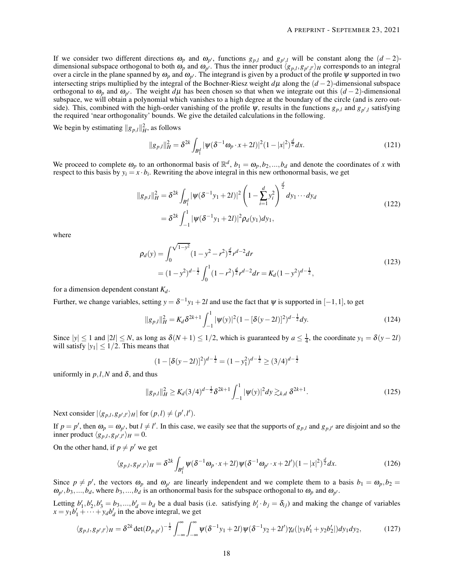If we consider two different directions  $\omega_p$  and  $\omega_{p'}$ , functions  $g_{p,l}$  and  $g_{p',l}$  will be constant along the  $(d-2)$ dimensional subspace orthogonal to both  $\omega_p$  and  $\omega_{p'}$ . Thus the inner product  $\langle g_{p,l}, g_{p',l'} \rangle_H$  corresponds to an integral over a circle in the plane spanned by  $\omega_p$  and  $\omega_{p'}$ . The integrand is given by a product of the profile  $\psi$  supported in two intersecting strips multiplied by the integral of the Bochner-Riesz weight *d*<sup>µ</sup> along the (*d* −2)-dimensional subspace orthogonal to  $\omega_p$  and  $\omega_{p'}$ . The weight  $d\mu$  has been chosen so that when we integrate out this  $(d-2)$ -dimensional subspace, we will obtain a polynomial which vanishes to a high degree at the boundary of the circle (and is zero outside). This, combined with the high-order vanishing of the profile  $\psi$ , results in the functions  $g_{p,l}$  and  $g_{p',l}$  satisfying the required 'near orthogonality' bounds. We give the detailed calculations in the following.

We begin by estimating  $||g_{p,l}||_H^2$ , as follows

$$
||g_{p,l}||_H^2 = \delta^{2k} \int_{B_1^d} |\psi(\delta^{-1}\omega_{p} \cdot x + 2l)|^2 (1 - |x|^2)^{\frac{d}{2}} dx.
$$
 (121)

We proceed to complete  $\omega_p$  to an orthonormal basis of  $\mathbb{R}^d$ ,  $b_1 = \omega_p, b_2, ..., b_d$  and denote the coordinates of *x* with respect to this basis by  $y_i = x \cdot b_i$ . Rewriting the above integral in this new orthonormal basis, we get

$$
||g_{p,l}||_H^2 = \delta^{2k} \int_{B_1^d} |\psi(\delta^{-1}y_1 + 2l)|^2 \left(1 - \sum_{i=1}^d y_i^2\right)^{\frac{d}{2}} dy_1 \cdots dy_d
$$
  
=  $\delta^{2k} \int_{-1}^1 |\psi(\delta^{-1}y_1 + 2l)|^2 \rho_d(y_1) dy_1,$  (122)

where

$$
\rho_d(y) = \int_0^{\sqrt{1-y^2}} (1-y^2 - r^2)^{\frac{d}{2}} r^{d-2} dr
$$
  
=  $(1-y^2)^{d-\frac{1}{2}} \int_0^1 (1-r^2)^{\frac{d}{2}} r^{d-2} dr = K_d (1-y^2)^{d-\frac{1}{2}},$  (123)

for a dimension dependent constant  $K_d$ .

Further, we change variables, setting  $y = \delta^{-1}y_1 + 2l$  and use the fact that  $\psi$  is supported in  $[-1, 1]$ , to get

$$
||g_{p,l}||_H^2 = K_d \delta^{2k+1} \int_{-1}^1 |\psi(y)|^2 (1 - [\delta(y-2l)]^2)^{d-\frac{1}{2}} dy.
$$
 (124)

Since  $|y| \le 1$  and  $|2l| \le N$ , as long as  $\delta(N+1) \le 1/2$ , which is guaranteed by  $a \le \frac{1}{4}$ , the coordinate  $y_1 = \delta(y-2l)$ will satisfy  $|y_1| \leq 1/2$ . This means that

<span id="page-17-1"></span>
$$
(1 - [\delta(y - 2l)]^2)^{d - \frac{1}{2}} = (1 - y_1^2)^{d - \frac{1}{2}} \ge (3/4)^{d - \frac{1}{2}}
$$

uniformly in  $p, l, N$  and  $\delta$ , and thus

$$
||g_{p,l}||_H^2 \ge K_d (3/4)^{d-\frac{1}{2}} \delta^{2k+1} \int_{-1}^1 |\psi(y)|^2 dy \gtrsim_{k,d} \delta^{2k+1}.
$$
 (125)

Next consider  $|\langle g_{p,l}, g_{p',l'} \rangle_H|$  for  $(p,l) \neq (p',l').$ 

If  $p = p'$ , then  $\omega_p = \omega_{p'}$ , but  $l \neq l'$ . In this case, we easily see that the supports of  $g_{p,l}$  and  $g_{p,l'}$  are disjoint and so the  $\langle g_{p,l}, g_{p',l'} \rangle_H = 0.$ 

On the other hand, if  $p \neq p'$  we get

<span id="page-17-0"></span>
$$
\langle g_{p,l}, g_{p',l'} \rangle_H = \delta^{2k} \int_{B_1^d} \psi(\delta^{-1} \omega_p \cdot x + 2l) \psi(\delta^{-1} \omega_{p'} \cdot x + 2l') (1 - |x|^2)^{\frac{d}{2}} dx. \tag{126}
$$

Since  $p \neq p'$ , the vectors  $\omega_p$  and  $\omega_{p'}$  are linearly independent and we complete them to a basis  $b_1 = \omega_p, b_2 =$  $\omega_{p'}, b_3,...,b_d$ , where  $b_3,...,b_d$  is an orthonormal basis for the subspace orthogonal to  $\omega_p$  and  $\omega_{p'}$ .

Letting  $b'_1, b'_2, b'_3 = b_3, ..., b'_d = b_d$  be a dual basis (i.e. satisfying  $b'_i \cdot b_j = \delta_{ij}$ ) and making the change of variables  $x = y_1 b'_1 + \dots + y_d b'_d$  in the above integral, we get

$$
\langle g_{p,l}, g_{p',l'} \rangle_H = \delta^{2k} \det(D_{p,p'})^{-\frac{1}{2}} \int_{-\infty}^{\infty} \int_{-\infty}^{\infty} \psi(\delta^{-1}y_1 + 2l) \psi(\delta^{-1}y_2 + 2l') \gamma_d(|y_1 b'_1 + y_2 b'_2|) dy_1 dy_2, \tag{127}
$$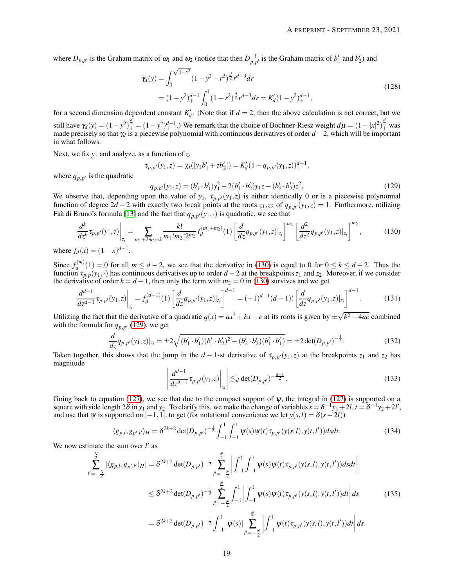where  $D_{p,p'}$  is the Graham matrix of  $\omega_1$  and  $\omega_2$  (notice that then  $D_{p,p'}^{-1}$  is the Graham matrix of  $b'_1$  and  $b'_2$ ) and

$$
\gamma_d(y) = \int_0^{\sqrt{1-y^2}} (1-y^2 - r^2)^{\frac{d}{2}} r^{d-3} dr
$$
  
=  $(1-y^2)^{d-1} \int_0^1 (1-r^2)^{\frac{d}{2}} r^{d-3} dr = K'_d (1-y^2)^{d-1}.$  (128)

for a second dimension dependent constant  $K'_{d}$ . (Note that if  $d = 2$ , then the above calculation is not correct, but we still have  $\gamma_d(y) = (1 - y^2)_+^{\frac{d}{2}} = (1 - y^2)_+^{d-1}$ .) We remark that the choice of Bochner-Riesz weight  $d\mu = (1 - |x|^2)_+^{\frac{d}{2}}$  was made precisely so that  $\gamma_d$  is a piecewise polynomial with continuous derivatives of order *d* −2, which will be important in what follows.

Next, we fix *y*<sup>1</sup> and analyze, as a function of *z*,

<span id="page-18-1"></span>
$$
\tau_{p,p'}(y_1,z)=\gamma_d(|y_1b'_1+zb'_2|)=K'_d(1-q_{p,p'}(y_1,z))_+^{d-1},
$$

where  $q_{p,p'}$  is the quadratic

<span id="page-18-0"></span>
$$
q_{p,p'}(y_1, z) = (b'_1 \cdot b'_1)y_1^2 - 2(b'_1 \cdot b'_2)y_1z - (b'_2 \cdot b'_2)z^2,
$$
\n(129)

We observe that, depending upon the value of  $y_1$ ,  $\tau_{p,p'}(y_1,z)$  is either identically 0 or is a piecewise polynomial function of degree  $2d - 2$  with exactly two break points at the roots  $z_1$ , $z_2$  of  $q_{p,p'}(y_1, z) = 1$ . Furthermore, utilizing Faà di Bruno's formula [\[13\]](#page-27-26) and the fact that  $q_{p,p'}(y_1,\cdot)$  is quadratic, we see that

$$
\frac{d^k}{dz^k} \tau_{p,p'}(y_1,z) \Big|_{z_i} = \sum_{m_1+2m_2=k} \frac{k!}{m_1! m_2! 2^{m_2}} f_d^{(m_1+m_2)}(1) \left[ \frac{d}{dz} q_{p,p'}(y_1,z) \Big|_{z_i} \right]^{m_1} \left[ \frac{d^2}{dz^2} q_{p,p'}(y_1,z) \Big|_{z_i} \right]^{m_2},\tag{130}
$$

where  $f_d(x) = (1 - x)^{d-1}$ .

Since  $f_d^{(m)}$  $d^{(m)}(1) = 0$  for all  $m \leq d - 2$ , we see that the derivative in [\(130\)](#page-18-0) is equal to 0 for  $0 \leq k \leq d - 2$ . Thus the function  $\tau_{p,p}(y_1, \cdot)$  has continuous derivatives up to order *d* − 2 at the breakpoints *z*<sub>1</sub> and *z*<sub>2</sub>. Moreover, if we consider the derivative of order  $k = d - 1$ , then only the term with  $m_2 = 0$  in [\(130\)](#page-18-0) survives and we get

$$
\frac{d^{d-1}}{dz^{d-1}}\tau_{p,p'}(y_1,z)\Big|_{z_i} = f_d^{(d-1)}(1) \left[ \frac{d}{dz} q_{p,p'}(y_1,z)\Big|_{z_i} \right]^{d-1} = (-1)^{d-1} (d-1)! \left[ \frac{d}{dz} q_{p,p'}(y_1,z)\Big|_{z_i} \right]^{d-1}.\tag{131}
$$

Utilizing the fact that the derivative of a quadratic  $q(x) = ax^2 + bx + c$  at its roots is given by  $\pm \sqrt{b^2 - 4ac}$  combined with the formula for  $q_{p,p'}$  [\(129\)](#page-18-1), we get

$$
\frac{d}{dz}q_{p,p'}(y_1,z)|_{z_i} = \pm 2\sqrt{(b'_1 \cdot b'_1)(b'_1 \cdot b'_2)^2 - (b'_2 \cdot b'_2)(b'_1 \cdot b'_1)} = \pm 2\det(D_{p,p'})^{-\frac{1}{2}}.
$$
\n(132)

<span id="page-18-2"></span>Taken together, this shows that the jump in the *d* − 1-st derivative of  $\tau_{p,p'}(y_1,z)$  at the breakpoints  $z_1$  and  $z_2$  has magnitude

$$
\left| \frac{d^{d-1}}{dz^{d-1}} \tau_{p,p'}(y_1,z) \right|_{z_i} \leq d \det(D_{p,p'})^{-\frac{d-1}{2}}.
$$
\n(133)

Going back to equation [\(127\)](#page-17-0), we see that due to the compact support of  $\psi$ , the integral in [\(127\)](#page-17-0) is supported on a square with side length  $2\delta$  in  $y_1$  and  $y_2$ . To clarify this, we make the change of variables  $s = \delta^{-1}y_1 + 2l$ ,  $t = \delta^{-1}y_2 + 2l'$ , and use that  $\psi$  is supported on  $[-1,1]$ , to get (for notational convenience we let  $y(s, l) = \delta(s-2l)$ )

<span id="page-18-3"></span>
$$
\langle g_{p,l}, g_{p',l'} \rangle_H = \delta^{2k+2} \det(D_{p,p'})^{-\frac{1}{2}} \int_{-1}^1 \int_{-1}^1 \psi(s) \psi(t) \tau_{p,p'}(y(s,l), y(t,l')) ds dt.
$$
 (134)

We now estimate the sum over *l'* as

$$
\sum_{l'=-\frac{N}{2}}^{\frac{N}{2}} |\langle g_{p,l}, g_{p',l'} \rangle_H| = \delta^{2k+2} \det(D_{p,p'})^{-\frac{1}{2}} \sum_{l'=-\frac{N}{2}}^{\frac{N}{2}} \left| \int_{-1}^{1} \int_{-1}^{1} \psi(s) \psi(t) \tau_{p,p'}(y(s,l), y(t,l')) ds dt \right|
$$
  

$$
\leq \delta^{2k+2} \det(D_{p,p'})^{-\frac{1}{2}} \sum_{l'=-\frac{N}{2}}^{\frac{N}{2}} \int_{-1}^{1} \left| \int_{-1}^{1} \psi(s) \psi(t) \tau_{p,p'}(y(s,l), y(t,l')) dt \right| ds \qquad (135)
$$
  

$$
= \delta^{2k+2} \det(D_{p,p'})^{-\frac{1}{2}} \int_{-1}^{1} |\psi(s)| \sum_{l'=-\frac{N}{2}}^{\frac{N}{2}} \left| \int_{-1}^{1} \psi(t) \tau_{p,p'}(y(s,l), y(t,l')) dt \right| ds.
$$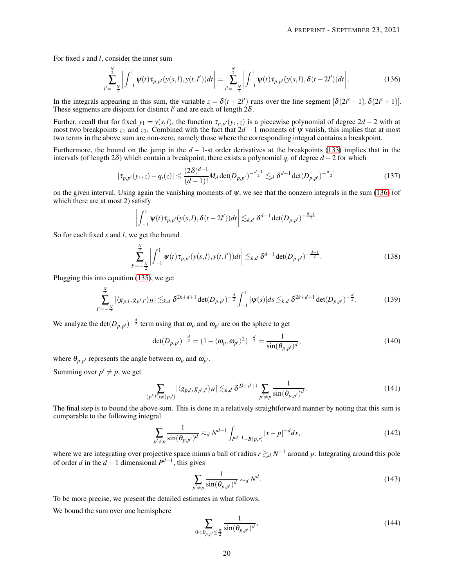For fixed *s* and *l*, consider the inner sum

<span id="page-19-0"></span>
$$
\sum_{l'=-\frac{N}{2}}^{\frac{N}{2}} \left| \int_{-1}^{1} \psi(t) \tau_{p,p'}(y(s,l), y(t,l')) dt \right| = \sum_{l'=-\frac{N}{2}}^{\frac{N}{2}} \left| \int_{-1}^{1} \psi(t) \tau_{p,p'}(y(s,l), \delta(t-2l')) dt \right|.
$$
 (136)

In the integrals appearing in this sum, the variable  $z = \delta(t - 2l')$  runs over the line segment  $[\delta(2l' - 1), \delta(2l' + 1)]$ . These segments are disjoint for distinct  $l'$  and are each of length  $2\delta$ .

Further, recall that for fixed  $y_1 = y(s,l)$ , the function  $\tau_{p,p'}(y_1,z)$  is a piecewise polynomial of degree 2*d* − 2 with at most two breakpoints  $z_1$  and  $z_2$ . Combined with the fact that  $2d - 1$  moments of  $\psi$  vanish, this implies that at most two terms in the above sum are non-zero, namely those where the corresponding integral contains a breakpoint.

Furthermore, the bound on the jump in the *d* − 1-st order derivatives at the breakpoints [\(133\)](#page-18-2) implies that in the intervals (of length  $2\delta$ ) which contain a breakpoint, there exists a polynomial  $q_i$  of degree *d* − 2 for which

$$
|\tau_{p,p'}(y_1,z) - q_i(z)| \le \frac{(2\delta)^{d-1}}{(d-1)!} M_d \det(D_{p,p'})^{-\frac{d-1}{2}} \lesssim_d \delta^{d-1} \det(D_{p,p'})^{-\frac{d-1}{2}}
$$
(137)

on the given interval. Using again the vanishing moments of  $\psi$ , we see that the nonzero integrals in the sum [\(136\)](#page-19-0) (of which there are at most 2) satisfy

$$
\left|\int_{-1}^1 \psi(t)\tau_{p,p'}(y(s,l),\delta(t-2l'))dt\right|\lesssim_{k,d} \delta^{d-1}\det(D_{p,p'})^{-\frac{d-1}{2}}.
$$

So for each fixed *s* and *l*, we get the bound

$$
\sum_{l'=-\frac{N}{2}}^{\frac{N}{2}} \left| \int_{-1}^{1} \psi(t) \tau_{p,p'}(y(s,l), y(t,l')) dt \right| \lesssim_{k,d} \delta^{d-1} \det(D_{p,p'})^{-\frac{d-1}{2}}.
$$
\n(138)

Plugging this into equation [\(135\)](#page-18-3), we get

$$
\sum_{l'=-\frac{N}{2}}^{\frac{N}{2}} |\langle g_{p,l}, g_{p',l'} \rangle_H| \lesssim_{k,d} \delta^{2k+d+1} \det(D_{p,p'})^{-\frac{d}{2}} \int_{-1}^1 |\psi(s)| ds \lesssim_{k,d} \delta^{2k+d+1} \det(D_{p,p'})^{-\frac{d}{2}}.
$$
 (139)

We analyze the  $\det(D_{p,p'})^{-\frac{d}{2}}$  term using that  $\omega_p$  and  $\omega_{p'}$  are on the sphere to get

$$
\det(D_{p,p'})^{-\frac{d}{2}} = (1 - \langle \omega_p, \omega_{p'} \rangle^2)^{-\frac{d}{2}} = \frac{1}{\sin(\theta_{p,p'})^d},\tag{140}
$$

where  $\theta_{p,p'}$  represents the angle between  $\omega_p$  and  $\omega_{p'}$ .

Summing over  $p' \neq p$ , we get

<span id="page-19-1"></span>
$$
\sum_{(p',l')\neq(p,l)} |\langle g_{p,l}, g_{p',l'}\rangle_H| \lesssim_{k,d} \delta^{2k+d+1} \sum_{p'\neq p} \frac{1}{\sin(\theta_{p,p'})^d}.
$$
 (141)

The final step is to bound the above sum. This is done in a relatively straightforward manner by noting that this sum is comparable to the following integral

$$
\sum_{p' \neq p} \frac{1}{\sin(\theta_{p,p'})^d} \approx_d N^{d-1} \int_{P^{d-1} - B(p,r)} |x - p|^{-d} dx,
$$
\n(142)

where we are integrating over projective space minus a ball of radius  $r \gtrsim_d N^{-1}$  around p. Integrating around this pole of order *d* in the  $d-1$  dimensional  $P^{d-1}$ , this gives

$$
\sum_{p' \neq p} \frac{1}{\sin(\theta_{p,p'})^d} \approx_d N^d.
$$
\n(143)

To be more precise, we present the detailed estimates in what follows.

We bound the sum over one hemisphere

$$
\sum_{0<\theta_{p,p'}\leq \frac{\pi}{2}}\frac{1}{\sin(\theta_{p,p'})^d},\tag{144}
$$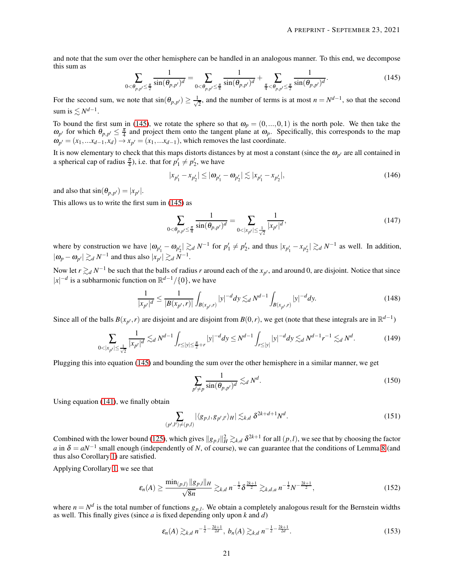<span id="page-20-0"></span>and note that the sum over the other hemisphere can be handled in an analogous manner. To this end, we decompose this sum as

$$
\sum_{0 < \theta_{p,p'} \leq \frac{\pi}{2}} \frac{1}{\sin(\theta_{p,p'})^d} = \sum_{0 < \theta_{p,p'} \leq \frac{\pi}{4}} \frac{1}{\sin(\theta_{p,p'})^d} + \sum_{\frac{\pi}{4} < \theta_{p,p'} \leq \frac{\pi}{2}} \frac{1}{\sin(\theta_{p,p'})^d}.\tag{145}
$$

For the second sum, we note that  $\sin(\theta_{p,p'}) \geq \frac{1}{\sqrt{p}}$  $\frac{1}{2}$ , and the number of terms is at most *n* =  $N^{d-1}$ , so that the second sum is  $\lesssim N^{d-1}$ .

To bound the first sum in [\(145\)](#page-20-0), we rotate the sphere so that  $\omega_p = (0, ..., 0, 1)$  is the north pole. We then take the  $\omega_{p'}$  for which  $\theta_{p,p'} \leq \frac{\pi}{4}$  and project them onto the tangent plane at  $\omega_p$ . Specifically, this corresponds to the map  $\omega_{p'} = (x_1, \ldots, x_{d-1}, x_d) \rightarrow x_{p'} = (x_1, \ldots, x_{d-1})$ , which removes the last coordinate.

It is now elementary to check that this maps distorts distances by at most a constant (since the  $\omega_{p'}$  are all contained in a spherical cap of radius  $\frac{\pi}{4}$ ), i.e. that for  $p'_1 \neq p'_2$ , we have

$$
|x_{p'_1} - x_{p'_2}| \le |\omega_{p'_1} - \omega_{p'_2}| \lesssim |x_{p'_1} - x_{p'_2}|,\tag{146}
$$

and also that  $\sin(\theta_{p,p'}) = |x_{p'}|$ .

This allows us to write the first sum in [\(145\)](#page-20-0) as

$$
\sum_{0 < \theta_{p,p'} \leq \frac{\pi}{4}} \frac{1}{\sin(\theta_{p,p'})^d} = \sum_{0 < |x_{p'}| \leq \frac{1}{\sqrt{2}}} \frac{1}{|x_{p'}|^d},\tag{147}
$$

where by construction we have  $|\omega_{p'_1} - \omega_{p'_2}| \gtrsim_d N^{-1}$  for  $p'_1 \neq p'_2$ , and thus  $|x_{p'_1} - x_{p'_2}| \gtrsim_d N^{-1}$  as well. In addition,  $|\omega_p - \omega_{p'}| \gtrsim_d N^{-1}$  and thus also  $|x_{p'}| \gtrsim_d N^{-1}$ .

Now let  $r \gtrsim_d N^{-1}$  be such that the balls of radius *r* around each of the  $x_{p'}$ , and around 0, are disjoint. Notice that since  $|x|^{-d}$  is a subharmonic function on  $\mathbb{R}^{d-1}/\{0\}$ , we have

$$
\frac{1}{|x_{p'}|^d} \le \frac{1}{|B(x_{p'}, r)|} \int_{B(x_{p'}, r)} |y|^{-d} dy \lesssim_d N^{d-1} \int_{B(x_{p'}, r)} |y|^{-d} dy. \tag{148}
$$

Since all of the balls  $B(x_{p'}, r)$  are disjoint and are disjoint from  $B(0, r)$ , we get (note that these integrals are in  $\mathbb{R}^{d-1}$ )

$$
\sum_{0<|x_{p'}|\leq\frac{1}{\sqrt{2}}} \frac{1}{|x_{p'}|^d} \lesssim_d N^{d-1} \int_{r\leq|y|\leq\frac{\pi}{2}+r} |y|^{-d} dy \leq N^{d-1} \int_{r\leq|y|} |y|^{-d} dy \lesssim_d N^{d-1} r^{-1} \lesssim_d N^d. \tag{149}
$$

Plugging this into equation [\(145\)](#page-20-0) and bounding the sum over the other hemisphere in a similar manner, we get

$$
\sum_{p' \neq p} \frac{1}{\sin(\theta_{p,p'})^d} \lesssim_d N^d.
$$
\n(150)

Using equation [\(141\)](#page-19-1), we finally obtain

$$
\sum_{(p',l')\neq(p,l)} |\langle g_{p,l}, g_{p',l'}\rangle_H| \lesssim_{k,d} \delta^{2k+d+1} N^d. \tag{151}
$$

Combined with the lower bound [\(125\)](#page-17-1), which gives  $||g_{p,l}||_H^2 \gtrsim_{k,d} \delta^{2k+1}$  for all  $(p,l)$ , we see that by choosing the factor *a* in  $\delta = aN^{-1}$  small enough (independently of *N*, of course), we can guarantee that the conditions of Lemma [8](#page-15-2) (and thus also Corollary [1\)](#page-14-3) are satisfied.

Applying Corollary [1,](#page-14-3) we see that

$$
\varepsilon_n(A) \ge \frac{\min_{(p,l)} \|g_{p,l}\|_H}{\sqrt{8n}} \gtrsim_{k,d} n^{-\frac{1}{2}} \delta^{\frac{2k+1}{2}} \gtrsim_{k,d,a} n^{-\frac{1}{2}} N^{-\frac{2k+1}{2}},
$$
\n(152)

where  $n = N<sup>d</sup>$  is the total number of functions  $g_{p,l}$ . We obtain a completely analogous result for the Bernstein widths as well. This finally gives (since *a* is fixed depending only upon *k* and *d*)

$$
\varepsilon_n(A) \gtrsim_{k,d} n^{-\frac{1}{2} - \frac{2k+1}{2d}}, \ b_n(A) \gtrsim_{k,d} n^{-\frac{1}{2} - \frac{2k+1}{2d}}.
$$
 (153)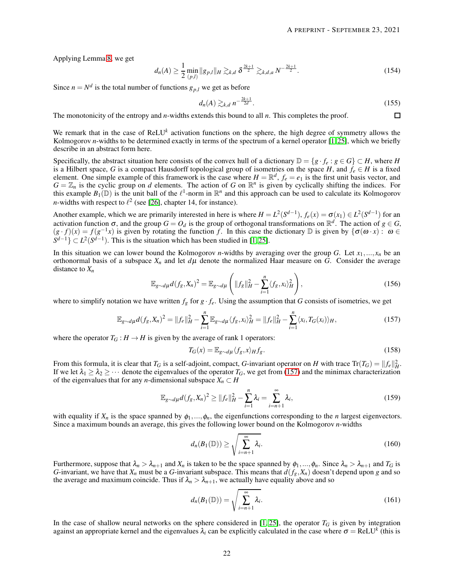Applying Lemma [8,](#page-15-2) we get

$$
d_n(A) \ge \frac{1}{2} \min_{(p,l)} \|g_{p,l}\|_H \gtrsim_{k,d} \delta^{\frac{2k+1}{2}} \gtrsim_{k,d,a} N^{-\frac{2k+1}{2}}.
$$
 (154)

Since  $n = N^d$  is the total number of functions  $g_{p,l}$  we get as before

$$
d_n(A) \gtrsim_{k,d} n^{-\frac{2k+1}{2d}}.
$$
\n(155)

The monotonicity of the entropy and *n*-widths extends this bound to all *n*. This completes the proof.  $\Box$ 

We remark that in the case of ReLU<sup>k</sup> activation functions on the sphere, the high degree of symmetry allows the Kolmogorov *n*-widths to be determined exactly in terms of the spectrum of a kernel operator [\[1,](#page-26-0)25], which we briefly describe in an abstract form here.

Specifically, the abstract situation here consists of the convex hull of a dictionary  $\mathbb{D} = \{g \cdot f_e : g \in G\} \subset H$ , where *H* is a Hilbert space, G is a compact Hausdorff topological group of isometries on the space H, and  $f_e \in H$  is a fixed<br>element. One simple example of this framework is the case where  $H = \mathbb{R}^d$ ,  $f_e = e_1$  is the first unit  $G = \mathbb{Z}_n$  is the cyclic group on *d* elements. The action of *G* on  $\mathbb{R}^n$  is given by cyclically shifting the indices. For this example  $B_1(\mathbb{D})$  is the unit ball of the  $\ell^1$ -norm in  $\mathbb{R}^n$  and this approach can be used to calculate its Kolmogorov *n*-widths with respect to  $l^2$  (see [\[26\]](#page-27-12), chapter 14, for instance).

Another example, which we are primarily interested in here is where  $H = L^2(S^{d-1}), f_e(x) = \sigma(x_1) \in L^2(S^{d-1})$  for an activation function  $\sigma$ , and the group  $G = O_d$  is the group of orthogonal transformations on  $\mathbb{R}^d$ . The action of  $g \in G$ ,  $(g \cdot f)(x) = f(g^{-1}x)$  is given by rotating the function *f*. In this case the dictionary D is given by  $\{\sigma(\omega \cdot x) : \omega \in$  $S^{d-1}$   $\subset L^2(S^{d-1})$ . This is the situation which has been studied in [\[1,](#page-26-0)25].

In this situation we can lower bound the Kolmogorov *n*-widths by averaging over the group *G*. Let  $x_1, ..., x_n$  be an orthonormal basis of a subspace  $X_n$  and let  $d\mu$  denote the normalized Haar measure on *G*. Consider the average distance to *X<sup>n</sup>*

$$
\mathbb{E}_{g \sim d\mu} d(f_g, X_n)^2 = \mathbb{E}_{g \sim d\mu} \left( \|f_g\|_H^2 - \sum_{i=1}^n \langle f_g, x_i \rangle_H^2 \right),\tag{156}
$$

where to simplify notation we have written  $f_g$  for  $g \cdot f_e$ . Using the assumption that *G* consists of isometries, we get

$$
\mathbb{E}_{g \sim d\mu} d(f_g, X_n)^2 = \|f_e\|_H^2 - \sum_{i=1}^n \mathbb{E}_{g \sim d\mu} \langle f_g, x_i \rangle_H^2 = \|f_e\|_H^2 - \sum_{i=1}^n \langle x_i, T_G(x_i) \rangle_H,
$$
\n(157)

where the operator  $T_G : H \to H$  is given by the average of rank 1 operators:

<span id="page-21-0"></span>
$$
T_G(x) = \mathbb{E}_{g \sim d\mu} \langle f_g, x \rangle_H f_g. \tag{158}
$$

From this formula, it is clear that  $T_G$  is a self-adjoint, compact, *G*-invariant operator on *H* with trace  $Tr(T_G) = ||f_e||_H^2$ . If we let  $\lambda_1 \geq \lambda_2 \geq \cdots$  denote the eigenvalues of the operator  $T_G$ , we get from [\(157\)](#page-21-0) and the minimax characterization of the eigenvalues that for any *n*-dimensional subspace  $X_n \subset H$ 

$$
\mathbb{E}_{g \sim d\mu} d(f_g, X_n)^2 \ge ||f_e||_H^2 - \sum_{i=1}^n \lambda_i = \sum_{i=n+1}^\infty \lambda_i,
$$
\n(159)

with equality if  $X_n$  is the space spanned by  $\phi_1, \ldots, \phi_n$ , the eigenfunctions corresponding to the *n* largest eigenvectors. Since a maximum bounds an average, this gives the following lower bound on the Kolmogorov *n*-widths

$$
d_n(B_1(\mathbb{D})) \ge \sqrt{\sum_{i=n+1}^{\infty} \lambda_i}.
$$
 (160)

Furthermore, suppose that  $\lambda_n > \lambda_{n+1}$  and  $X_n$  is taken to be the space spanned by  $\phi_1, ..., \phi_n$ . Since  $\lambda_n > \lambda_{n+1}$  and  $T_G$  is *G*-invariant, we have that  $X_n$  must be a *G*-invariant subspace. This means that  $d(f_g, X_n)$  doesn't depend upon *g* and so the average and maximum coincide. Thus if  $\lambda_n > \lambda_{n+1}$ , we actually have equality above and so

$$
d_n(B_1(\mathbb{D})) = \sqrt{\sum_{i=n+1}^{\infty} \lambda_i}.
$$
 (161)

In the case of shallow neural networks on the sphere considered in  $[1, 25]$  $[1, 25]$ , the operator  $T_G$  is given by integration against an appropriate kernel and the eigenvalues  $\lambda_i$  can be explicitly calculated in the case where  $\sigma =$  ReLU<sup>k</sup> (this is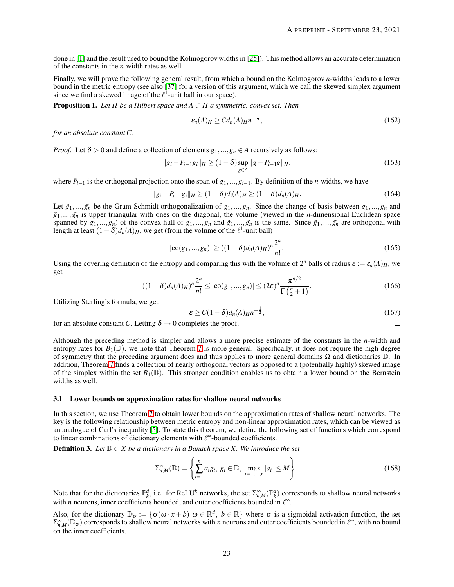done in [\[1\]](#page-26-0) and the result used to bound the Kolmogorov widths in [\[25\]](#page-27-27)). This method allows an accurate determination of the constants in the *n*-width rates as well.

Finally, we will prove the following general result, from which a bound on the Kolmogorov *n*-widths leads to a lower bound in the metric entropy (see also [\[37\]](#page-28-4) for a version of this argument, which we call the skewed simplex argument since we find a skewed image of the  $\ell^1$ -unit ball in our space).

**Proposition 1.** *Let H be a Hilbert space and A*  $\subset$  *H a symmetric, convex set. Then* 

$$
\varepsilon_n(A)_H \geq C d_n(A)_H n^{-\frac{1}{2}},\tag{162}
$$

*for an absolute constant C.*

*Proof.* Let  $\delta > 0$  and define a collection of elements  $g_1, ..., g_n \in A$  recursively as follows:

$$
||g_i - P_{i-1}g_i||_H \ge (1 - \delta) \sup_{g \in A} ||g - P_{i-1}g||_H,
$$
\n(163)

where  $P_{i-1}$  is the orthogonal projection onto the span of  $g_1, \ldots, g_{i-1}$ . By definition of the *n*-widths, we have

$$
||g_i - P_{i-1}g_i||_H \ge (1 - \delta)d_i(A)_H \ge (1 - \delta)d_n(A)_H.
$$
\n(164)

Let  $\tilde{g}_1, \ldots, \tilde{g}_n$  be the Gram-Schmidt orthogonalization of  $g_1, \ldots, g_n$ . Since the change of basis between  $g_1, \ldots, g_n$  and  $\tilde{g}_1,...,\tilde{g}_n$  is upper triangular with ones on the diagonal, the volume (viewed in the *n*-dimensional Euclidean space spanned by  $g_1, ..., g_n$  of the convex hull of  $g_1, ..., g_n$  and  $\tilde{g}_1, ..., \tilde{g}_n$  is the same. Since  $\tilde{g}_1, ..., \tilde{g}_n$  are orthogonal with length at least  $(1 - \delta)d_n(A)_H$ , we get (from the volume of the  $\ell^1$ -unit ball)

$$
|\text{co}(g_1,...,g_n)| \ge ((1-\delta)d_n(A)_H)^n \frac{2^n}{n!}.
$$
 (165)

Using the covering definition of the entropy and comparing this with the volume of  $2^n$  balls of radius  $\varepsilon := \varepsilon_n(A)_H$ , we get

$$
((1-\delta)d_n(A)_H)^n \frac{2^n}{n!} \le |\cos(g_1,...,g_n)| \le (2\varepsilon)^n \frac{\pi^{n/2}}{\Gamma(\frac{n}{2}+1)}.
$$
\n(166)

Utilizing Sterling's formula, we get

$$
\varepsilon \ge C(1-\delta)d_n(A)_{H}n^{-\frac{1}{2}},\tag{167}
$$

 $\Box$ 

for an absolute constant *C*. Letting  $\delta \rightarrow 0$  completes the proof.

Although the preceding method is simpler and allows a more precise estimate of the constants in the *n*-width and entropy rates for  $B_1(\mathbb{D})$ , we note that Theorem [7](#page-15-1) is more general. Specifically, it does not require the high degree of symmetry that the preceding argument does and thus applies to more general domains Ω and dictionaries D. In addition, Theorem [7](#page-15-1) finds a collection of nearly orthogonal vectors as opposed to a (potentially highly) skewed image of the simplex within the set  $B_1(\mathbb{D})$ . This stronger condition enables us to obtain a lower bound on the Bernstein widths as well.

#### 3.1 Lower bounds on approximation rates for shallow neural networks

In this section, we use Theorem [7](#page-15-1) to obtain lower bounds on the approximation rates of shallow neural networks. The key is the following relationship between metric entropy and non-linear approximation rates, which can be viewed as an analogue of Carl's inequality [\[5\]](#page-26-5). To state this theorem, we define the following set of functions which correspond to linear combinations of dictionary elements with  $\ell^{\infty}$ -bounded coefficients.

**Definition 3.** *Let*  $\mathbb{D} \subset X$  *be a dictionary in a Banach space X. We introduce the set* 

$$
\Sigma_{n,M}^{\infty}(\mathbb{D}) = \left\{ \sum_{i=1}^{n} a_i g_i, \ g_i \in \mathbb{D}, \ \max_{i=1,\dots,n} |a_i| \le M \right\}.
$$
 (168)

Note that for the dictionaries  $\mathbb{P}_k^d$ , i.e. for ReLU<sup>k</sup> networks, the set  $\Sigma_{n,M}^{\infty}(\mathbb{P}_k^d)$  corresponds to shallow neural networks with *n* neurons, inner coefficients bounded, and outer coefficients bounded in  $\ell^{\infty}$ .

Also, for the dictionary  $\mathbb{D}_{\sigma} := \{ \sigma(\omega \cdot x + b) \, \omega \in \mathbb{R}^d, \ b \in \mathbb{R} \}$  where  $\sigma$  is a sigmoidal activation function, the set  $\sum_{n,M}^{\infty}(\mathbb{D}_{\sigma})$  corresponds to shallow neural networks with *n* neurons and outer coefficients bounded in  $\ell^{\infty}$ , with no bound on the inner coefficients.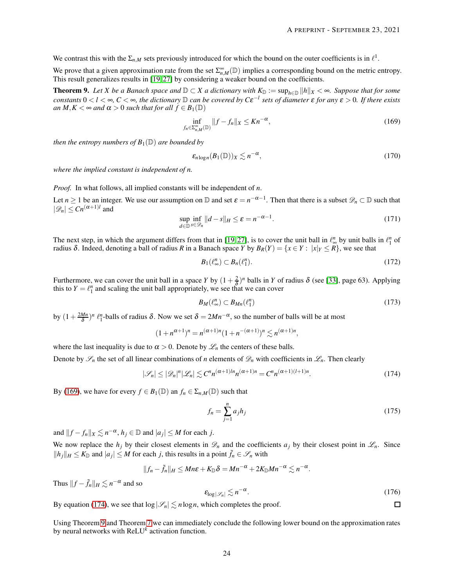We contrast this with the  $\Sigma_{n,M}$  sets previously introduced for which the bound on the outer coefficients is in  $\ell^1$ .

We prove that a given approximation rate from the set  $\sum_{n,M}^{\infty}(\mathbb{D})$  implies a corresponding bound on the metric entropy. This result generalizes results in [\[19,](#page-27-1)27] by considering a weaker bound on the coefficients.

<span id="page-23-2"></span>**Theorem 9.** Let *X* be a Banach space and  $D \subset X$  a dictionary with  $K_D := \sup_{h \in D} ||h||_X < \infty$ . Suppose that for some *constants*  $0 < l < \infty$ ,  $C < \infty$ , the dictionary  $D$  can be covered by  $C\epsilon^{-l}$  sets of diameter  $\epsilon$  for any  $\epsilon > 0$ . If there exists *an*  $M, K < \infty$  *and*  $\alpha > 0$  *such that for all*  $f \in B_1(\mathbb{D})$ 

<span id="page-23-0"></span>
$$
\inf_{f_n \in \Sigma_{n,M}^{\infty}(\mathbb{D})} \|f - f_n\|_X \le Kn^{-\alpha},\tag{169}
$$

*then the entropy numbers of*  $B_1(\mathbb{D})$  *are bounded by* 

$$
\varepsilon_{n\log n}(B_1(\mathbb{D}))_X \lesssim n^{-\alpha},\tag{170}
$$

*where the implied constant is independent of n.*

*Proof.* In what follows, all implied constants will be independent of *n*.

Let  $n \ge 1$  be an integer. We use our assumption on  $\mathbb D$  and set  $\varepsilon = n^{-\alpha-1}$ . Then that there is a subset  $\mathscr D_n \subset \mathbb D$  such that  $|\mathscr{D}_n| \leq Cn^{(\alpha+1)l}$  and

$$
\sup_{d \in \mathbb{D}} \inf_{s \in \mathcal{D}_n} ||d - s||_H \le \varepsilon = n^{-\alpha - 1}.
$$
\n(171)

The next step, in which the argument differs from that in [\[19,](#page-27-1) [27\]](#page-27-10), is to cover the unit ball in  $\ell_0^n$  by unit balls in  $\ell_1^n$  of radius δ. Indeed, denoting a ball of radius R in a Banach space *Y* by  $B_R(Y) = \{x \in Y : |x|_Y \le R\}$ , we see that

$$
B_1(\ell_\infty^n) \subset B_n(\ell_1^n). \tag{172}
$$

Furthermore, we can cover the unit ball in a space *Y* by  $(1+\frac{2}{\delta})^n$  balls in *Y* of radius  $\delta$  (see [\[33\]](#page-27-28), page 63). Applying this to  $Y = \ell_1^n$  and scaling the unit ball appropriately, we see that we can cover

$$
B_M(\ell_\infty^n) \subset B_{Mn}(\ell_1^n) \tag{173}
$$

by  $(1+\frac{2Mn}{\delta})^n \ell_1^n$ -balls of radius  $\delta$ . Now we set  $\delta = 2Mn^{-\alpha}$ , so the number of balls will be at most

$$
(1 + n^{\alpha+1})^n = n^{(\alpha+1)n} (1 + n^{-(\alpha+1)})^n \lesssim n^{(\alpha+1)n},
$$

where the last inequality is due to  $\alpha > 0$ . Denote by  $\mathcal{L}_n$  the centers of these balls.

Denote by  $\mathscr{S}_n$  the set of all linear combinations of *n* elements of  $\mathscr{D}_n$  with coefficients in  $\mathscr{L}_n$ . Then clearly

$$
|\mathcal{S}_n| \le |\mathcal{D}_n|^n |\mathcal{L}_n| \lesssim C^n n^{(\alpha+1)n} n^{(\alpha+1)n} = C^n n^{(\alpha+1)(l+1)n}.
$$
 (174)

By [\(169\)](#page-23-0), we have for every  $f \in B_1(\mathbb{D})$  an  $f_n \in \Sigma_{n,M}(\mathbb{D})$  such that

$$
f_n = \sum_{j=1}^n a_j h_j \tag{175}
$$

and  $||f - f_n||_X \lesssim n^{-\alpha}, h_j \in \mathbb{D}$  and  $|a_j| \leq M$  for each *j*.

We now replace the  $h_j$  by their closest elements in  $\mathcal{D}_n$  and the coefficients  $a_j$  by their closest point in  $\mathcal{L}_n$ . Since  $||h_j||_H \le K_{\mathbb{D}}$  and  $|a_j| \le M$  for each *j*, this results in a point  $\tilde{f}_n \in \mathcal{S}_n$  with

$$
||f_n-\tilde{f}_n||_H\leq Mn\varepsilon+K_{\mathbb{D}}\delta= Mn^{-\alpha}+2K_{\mathbb{D}}Mn^{-\alpha}\lesssim n^{-\alpha}.
$$

Thus  $||f - \tilde{f}_n||_H \lesssim n^{-\alpha}$  and so

$$
\varepsilon_{\log|\mathscr{S}_n|} \lesssim n^{-\alpha}.\tag{176}
$$

<span id="page-23-1"></span> $\Box$ 

By equation [\(174\)](#page-23-1), we see that  $\log |\mathcal{S}_n| \lesssim n \log n$ , which completes the proof.

Using Theorem [9](#page-23-2) and Theorem [7](#page-15-1) we can immediately conclude the following lower bound on the approximation rates by neural networks with ReLU*<sup>k</sup>* activation function.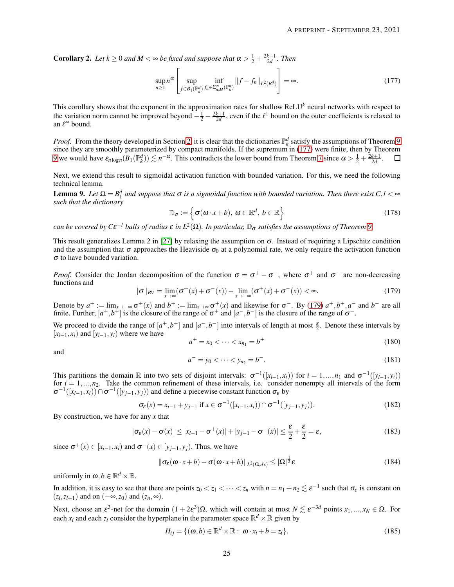**Corollary 2.** Let  $k \ge 0$  and  $M < \infty$  be fixed and suppose that  $\alpha > \frac{1}{2} + \frac{2k+1}{2d}$ . Then

<span id="page-24-0"></span>
$$
\sup_{n\geq 1} n^{\alpha} \left[ \sup_{f \in B_1(\mathbb{P}_k^d) \ f_n \in \Sigma_{n,M}^{\infty}(\mathbb{P}_k^d)} \|f - f_n\|_{L^2(B_1^d)} \right] = \infty.
$$
 (177)

This corollary shows that the exponent in the approximation rates for shallow ReLU*<sup>k</sup>* neural networks with respect to the variation norm cannot be improved beyond  $-\frac{1}{2} - \frac{2k+1}{2d}$ , even if the  $\ell^1$  bound on the outer coefficients is relaxed to an  $\ell^{\infty}$  bound.

*Proof.* From the theory developed in Section [2,](#page-4-0) it is clear that the dictionaries  $\mathbb{P}_k^d$  satisfy the assumptions of Theorem [9](#page-23-2) since they are smoothly parameterized by compact manifolds. If the supremum in [\(177\)](#page-24-0) were finite, then by Theorem [9](#page-23-2) we would have  $\varepsilon_{n \log n}(B_1(\mathbb{P}_k^d)) \lesssim n^{-\alpha}$ . This contradicts the lower bound from Theorem [7](#page-15-1) since  $\alpha > \frac{1}{2} + \frac{2k+1}{2d}$ .

Next, we extend this result to sigmoidal activation function with bounded variation. For this, we need the following technical lemma.

<span id="page-24-3"></span>**Lemma 9.** Let  $\Omega = B_1^d$  and suppose that  $\sigma$  is a sigmoidal function with bounded variation. Then there exist  $C, l < \infty$ *such that the dictionary*

$$
\mathbb{D}_{\sigma} := \left\{ \sigma(\omega \cdot x + b), \ \omega \in \mathbb{R}^d, \ b \in \mathbb{R} \right\}
$$
 (178)

 $c$ an be covered by  $C\epsilon^{-l}$  balls of radius  $\varepsilon$  in  $L^2(\Omega)$ . In particular,  $\mathbb{D}_\sigma$  satisfies the assumptions of Theorem [9.](#page-23-2)

This result generalizes Lemma 2 in [\[27\]](#page-27-10) by relaxing the assumption on  $\sigma$ . Instead of requiring a Lipschitz condition and the assumption that  $\sigma$  approaches the Heaviside  $\sigma_0$  at a polynomial rate, we only require the activation function <sup>σ</sup> to have bounded variation.

*Proof.* Consider the Jordan decomposition of the function  $\sigma = \sigma^+ - \sigma^-$ , where  $\sigma^+$  and  $\sigma^-$  are non-decreasing functions and

<span id="page-24-1"></span>
$$
\|\sigma\|_{BV} = \lim_{x \to \infty} (\sigma^+(x) + \sigma^-(x)) - \lim_{x \to -\infty} (\sigma^+(x) + \sigma^-(x)) < \infty. \tag{179}
$$

Denote by  $a^+ := \lim_{x \to -\infty} \sigma^+(x)$  and  $b^+ := \lim_{x \to \infty} \sigma^+(x)$  and likewise for  $\sigma^-$ . By [\(179\)](#page-24-1)  $a^+, b^+, a^-$  and  $b^-$  are all finite. Further,  $[a^+, b^+]$  is the closure of the range of  $\sigma^+$  and  $[a^-, b^-]$  is the closure of the range of  $\sigma^-$ .

We proceed to divide the range of  $[a^+, b^+]$  and  $[a^-, b^-]$  into intervals of length at most  $\frac{\varepsilon}{2}$ . Denote these intervals by  $[x_{i-1}, x_i]$  and  $[y_{i-1}, y_i]$  where we have

$$
a^+ = x_0 < \dots < x_{n_1} = b^+ \tag{180}
$$

and

$$
a^- = y_0 < \dots < y_{n_2} = b^- \tag{181}
$$

This partitions the domain  $\mathbb R$  into two sets of disjoint intervals:  $\sigma^{-1}([x_{i-1}, x_i))$  for  $i = 1, ..., n_1$  and  $\sigma^{-1}([y_{i-1}, y_i))$ for  $i = 1,...,n_2$ . Take the common refinement of these intervals, i.e. consider nonempty all intervals of the form  $\sigma^{-1}([x_{i-1},x_i)) \cap \sigma^{-1}([y_{j-1},y_j))$  and define a piecewise constant function  $\sigma_{\varepsilon}$  by

$$
\sigma_{\varepsilon}(x) = x_{i-1} + y_{j-1} \text{ if } x \in \sigma^{-1}([x_{i-1}, x_i)) \cap \sigma^{-1}([y_{j-1}, y_j)).
$$
\n(182)

By construction, we have for any *x* that

$$
|\sigma_{\varepsilon}(x) - \sigma(x)| \le |x_{i-1} - \sigma^+(x)| + |y_{j-1} - \sigma^-(x)| \le \frac{\varepsilon}{2} + \frac{\varepsilon}{2} = \varepsilon,
$$
\n(183)

since  $\sigma^+(x) \in [x_{i-1}, x_i)$  and  $\sigma^-(x) \in [y_{j-1}, y_j)$ . Thus, we have

<span id="page-24-2"></span>
$$
\|\sigma_{\varepsilon}(\omega \cdot x + b) - \sigma(\omega \cdot x + b)\|_{L^{2}(\Omega, dx)} \leq |\Omega|^{\frac{1}{2}} \varepsilon
$$
\n(184)

uniformly in  $\boldsymbol{\omega}, b \in \mathbb{R}^d \times \mathbb{R}$ .

In addition, it is easy to see that there are points  $z_0 < z_1 < \cdots < z_n$  with  $n = n_1 + n_2 \lesssim \varepsilon^{-1}$  such that  $\sigma_{\varepsilon}$  is constant on  $(z_i, z_{i+1})$  and on  $(-\infty, z_0)$  and  $(z_n, \infty)$ .

Next, choose an  $\varepsilon^3$ -net for the domain  $(1 + 2\varepsilon^3)\Omega$ , which will contain at most  $N \lesssim \varepsilon^{-3d}$  points  $x_1,...,x_N \in \Omega$ . For each  $x_i$  and each  $z_i$  consider the hyperplane in the parameter space  $\mathbb{R}^d \times \mathbb{R}$  given by

$$
H_{ij} = \{ (\omega, b) \in \mathbb{R}^d \times \mathbb{R} : \omega \cdot x_i + b = z_i \}.
$$
 (185)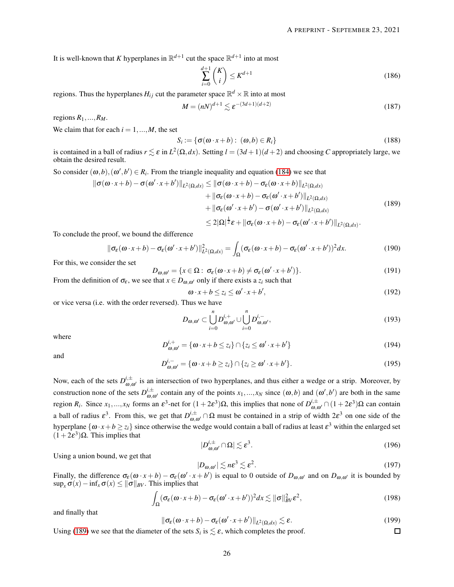It is well-known that *K* hyperplanes in  $\mathbb{R}^{d+1}$  cut the space  $\mathbb{R}^{d+1}$  into at most

$$
\sum_{i=0}^{d+1} \binom{K}{i} \le K^{d+1} \tag{186}
$$

regions. Thus the hyperplanes  $H_{ij}$  cut the parameter space  $\mathbb{R}^d \times \mathbb{R}$  into at most

$$
M = (nN)^{d+1} \lesssim \varepsilon^{-(3d+1)(d+2)} \tag{187}
$$

regions  $R_1, \ldots, R_M$ .

We claim that for each  $i = 1, ..., M$ , the set

<span id="page-25-0"></span>
$$
S_i := \{ \sigma(\omega \cdot x + b) : (\omega, b) \in R_i \}
$$
\n(188)

is contained in a ball of radius  $r \lesssim \varepsilon$  in  $L^2(\Omega, dx)$ . Setting  $l = (3d+1)(d+2)$  and choosing *C* appropriately large, we obtain the desired result.

So consider  $(\omega, b), (\omega', b') \in R_i$ . From the triangle inequality and equation [\(184\)](#page-24-2) we see that

$$
\begin{aligned} \|\sigma(\omega \cdot x + b) - \sigma(\omega' \cdot x + b')\|_{L^{2}(\Omega, dx)} &\leq \|\sigma(\omega \cdot x + b) - \sigma_{\varepsilon}(\omega \cdot x + b)\|_{L^{2}(\Omega, dx)} \\ &+ \|\sigma_{\varepsilon}(\omega \cdot x + b) - \sigma_{\varepsilon}(\omega' \cdot x + b')\|_{L^{2}(\Omega, dx)} \\ &+ \|\sigma_{\varepsilon}(\omega' \cdot x + b') - \sigma(\omega' \cdot x + b')\|_{L^{2}(\Omega, dx)} \\ &\leq 2|\Omega|^{\frac{1}{2}}\varepsilon + \|\sigma_{\varepsilon}(\omega \cdot x + b) - \sigma_{\varepsilon}(\omega' \cdot x + b')\|_{L^{2}(\Omega, dx)} . \end{aligned} \tag{189}
$$

To conclude the proof, we bound the difference

$$
\|\sigma_{\varepsilon}(\omega \cdot x + b) - \sigma_{\varepsilon}(\omega' \cdot x + b')\|_{L^{2}(\Omega, dx)}^{2} = \int_{\Omega} (\sigma_{\varepsilon}(\omega \cdot x + b) - \sigma_{\varepsilon}(\omega' \cdot x + b'))^{2} dx.
$$
 (190)

For this, we consider the set

$$
D_{\omega,\omega'} = \{x \in \Omega : \sigma_{\varepsilon}(\omega \cdot x + b) \neq \sigma_{\varepsilon}(\omega' \cdot x + b')\}.
$$
\n(191)

From the definition of  $\sigma_{\varepsilon}$ , we see that  $x \in D_{\omega,\omega'}$  only if there exists a  $z_i$  such that

$$
\omega \cdot x + b \le z_i \le \omega' \cdot x + b', \tag{192}
$$

or vice versa (i.e. with the order reversed). Thus we have

$$
D_{\omega,\omega'} \subset \bigcup_{i=0}^n D_{\omega,\omega'}^{i,+} \cup \bigcup_{i=0}^n D_{\omega,\omega'}^{i,-},\tag{193}
$$

where

$$
D_{\omega,\omega'}^{i,+} = \{ \omega \cdot x + b \le z_i \} \cap \{ z_i \le \omega' \cdot x + b' \}
$$
\n(194)

and

$$
D_{\omega,\omega'}^{i,-} = \{\omega \cdot x + b \ge z_i\} \cap \{z_i \ge \omega' \cdot x + b'\}.
$$
\n(195)

Now, each of the sets  $D_{\omega,\omega'}^{i,\pm}$  is an intersection of two hyperplanes, and thus either a wedge or a strip. Moreover, by construction none of the sets  $D_{\omega,\omega'}^{i,\pm}$  contain any of the points  $x_1,...,x_N$  since  $(\omega,b)$  and  $(\omega',b')$  are both in the same region *R<sub>i</sub>*. Since *x*<sub>1</sub>,...,*x<sub>N</sub>* forms an  $\varepsilon^3$ -net for  $(1+2\varepsilon^3)$ Ω, this implies that none of  $D^{i,\pm}_{\omega,\omega'} \cap (1+2\varepsilon^3)$ Ω can contain a ball of radius  $\varepsilon^3$ . From this, we get that  $D_{\omega,\omega'}^{i,\pm} \cap \Omega$  must be contained in a strip of width  $2\varepsilon^3$  on one side of the hyperplane  $\{\omega \cdot x + b \ge z_i\}$  since otherwise the wedge would contain a ball of radius at least  $\varepsilon^3$  within the enlarged set  $(1+2\varepsilon^3)\Omega$ . This implies that

$$
|D_{\omega,\omega'}^{i,\pm}\cap\Omega|\lesssim \varepsilon^3.\tag{196}
$$

Using a union bound, we get that

$$
|D_{\omega,\omega'}| \lesssim n\epsilon^3 \lesssim \epsilon^2. \tag{197}
$$

 $\Box$ 

Finally, the difference  $\sigma_{\varepsilon}(\omega \cdot x + b) - \sigma_{\varepsilon}(\omega' \cdot x + b')$  is equal to 0 outside of  $D_{\omega,\omega'}$  and on  $D_{\omega,\omega'}$  it is bounded by  $\sup_x \sigma(x) - \inf_x \sigma(x) \le ||\sigma||_{BV}$ . This implies that

$$
\int_{\Omega} (\sigma_{\varepsilon}(\omega \cdot x + b) - \sigma_{\varepsilon}(\omega' \cdot x + b'))^2 dx \lesssim ||\sigma||_{BV}^2 \varepsilon^2,
$$
\n(198)

and finally that

$$
\|\sigma_{\varepsilon}(\omega \cdot x + b) - \sigma_{\varepsilon}(\omega' \cdot x + b')\|_{L^2(\Omega, dx)} \lesssim \varepsilon.
$$
 (199)

Using [\(189\)](#page-25-0) we see that the diameter of the sets  $S_i$  is  $\lesssim \varepsilon$ , which completes the proof.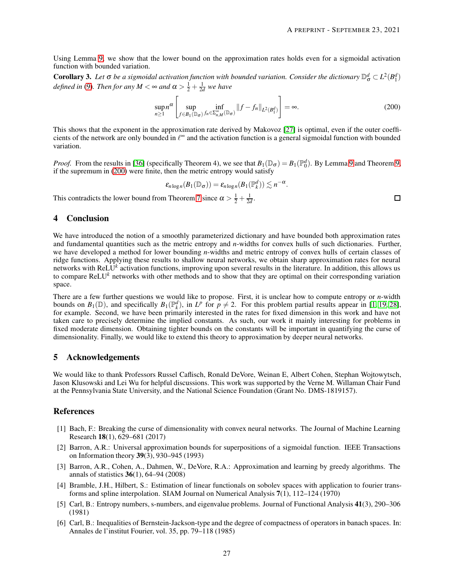$\Box$ 

Using Lemma [9,](#page-24-3) we show that the lower bound on the approximation rates holds even for a sigmoidal activation function with bounded variation.

**Corollary 3.** Let  $\sigma$  be a sigmoidal activation function with bounded variation. Consider the dictionary  $\mathbb{D}^d_\sigma \subset L^2(B_1^d)$ *defined in* [\(9\)](#page-1-0). Then for any  $M < \infty$  and  $\alpha > \frac{1}{2} + \frac{1}{2d}$  we have

<span id="page-26-6"></span>
$$
\sup_{n\geq 1} n^{\alpha} \left[ \sup_{f \in B_1(\mathbb{D}_{\sigma})} \inf_{f_n \in \Sigma_{n,M}^{\infty}(\mathbb{D}_{\sigma})} \|f - f_n\|_{L^2(B_1^d)} \right] = \infty.
$$
 (200)

This shows that the exponent in the approximation rate derived by Makovoz [\[27\]](#page-27-10) is optimal, even if the outer coefficients of the network are only bounded in  $\ell^{\infty}$  and the activation function is a general sigmoidal function with bounded variation.

*Proof.* From the results in [\[36\]](#page-28-1) (specifically Theorem 4), we see that  $B_1(\mathbb{D}_{\sigma}) = B_1(\mathbb{P}_0^d)$ . By Lemma [9](#page-24-3) and Theorem [9,](#page-23-2) if the supremum in [\(200\)](#page-26-6) were finite, then the metric entropy would satisfy

$$
\varepsilon_{n \log n}(B_1(\mathbb{D}_{\sigma})) = \varepsilon_{n \log n}(B_1(\mathbb{P}_k^d)) \lesssim n^{-\alpha}.
$$

This contradicts the lower bound from Theorem [7](#page-15-1) since  $\alpha > \frac{1}{2} + \frac{1}{2d}$ .

## 4 Conclusion

We have introduced the notion of a smoothly parameterized dictionary and have bounded both approximation rates and fundamental quantities such as the metric entropy and *n*-widths for convex hulls of such dictionaries. Further, we have developed a method for lower bounding *n*-widths and metric entropy of convex hulls of certain classes of ridge functions. Applying these results to shallow neural networks, we obtain sharp approximation rates for neural networks with ReLU*<sup>k</sup>* activation functions, improving upon several results in the literature. In addition, this allows us to compare ReLU*<sup>k</sup>* networks with other methods and to show that they are optimal on their corresponding variation space.

There are a few further questions we would like to propose. First, it is unclear how to compute entropy or *n*-width bounds on  $B_1(\mathbb{D})$ , and specifically  $B_1(\mathbb{P}_k^d)$ , in  $L^p$  for  $p \neq 2$ . For this problem partial results appear in [\[1,](#page-26-0) [19,](#page-27-1) [28\]](#page-27-22), for example. Second, we have been primarily interested in the rates for fixed dimension in this work and have not taken care to precisely determine the implied constants. As such, our work it mainly interesting for problems in fixed moderate dimension. Obtaining tighter bounds on the constants will be important in quantifying the curse of dimensionality. Finally, we would like to extend this theory to approximation by deeper neural networks.

## 5 Acknowledgements

We would like to thank Professors Russel Caflisch, Ronald DeVore, Weinan E, Albert Cohen, Stephan Wojtowytsch, Jason Klusowski and Lei Wu for helpful discussions. This work was supported by the Verne M. Willaman Chair Fund at the Pennsylvania State University, and the National Science Foundation (Grant No. DMS-1819157).

# <span id="page-26-0"></span>References

- [1] Bach, F.: Breaking the curse of dimensionality with convex neural networks. The Journal of Machine Learning Research 18(1), 629–681 (2017)
- <span id="page-26-1"></span>[2] Barron, A.R.: Universal approximation bounds for superpositions of a sigmoidal function. IEEE Transactions on Information theory 39(3), 930–945 (1993)
- <span id="page-26-2"></span>[3] Barron, A.R., Cohen, A., Dahmen, W., DeVore, R.A.: Approximation and learning by greedy algorithms. The annals of statistics 36(1), 64–94 (2008)
- <span id="page-26-3"></span>[4] Bramble, J.H., Hilbert, S.: Estimation of linear functionals on sobolev spaces with application to fourier transforms and spline interpolation. SIAM Journal on Numerical Analysis 7(1), 112–124 (1970)
- <span id="page-26-5"></span>[5] Carl, B.: Entropy numbers, s-numbers, and eigenvalue problems. Journal of Functional Analysis 41(3), 290–306 (1981)
- <span id="page-26-4"></span>[6] Carl, B.: Inequalities of Bernstein-Jackson-type and the degree of compactness of operators in banach spaces. In: Annales de l'institut Fourier, vol. 35, pp. 79–118 (1985)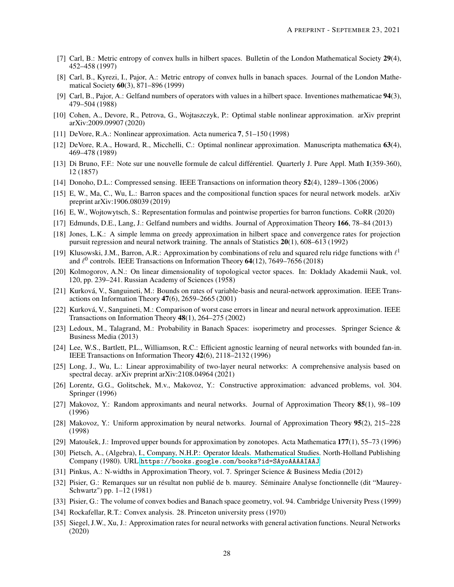- <span id="page-27-20"></span>[7] Carl, B.: Metric entropy of convex hulls in hilbert spaces. Bulletin of the London Mathematical Society 29(4), 452–458 (1997)
- <span id="page-27-21"></span>[8] Carl, B., Kyrezi, I., Pajor, A.: Metric entropy of convex hulls in banach spaces. Journal of the London Mathematical Society 60(3), 871–896 (1999)
- <span id="page-27-25"></span>[9] Carl, B., Pajor, A.: Gelfand numbers of operators with values in a hilbert space. Inventiones mathematicae 94(3), 479–504 (1988)
- <span id="page-27-15"></span>[10] Cohen, A., Devore, R., Petrova, G., Wojtaszczyk, P.: Optimal stable nonlinear approximation. arXiv preprint arXiv:2009.09907 (2020)
- <span id="page-27-17"></span><span id="page-27-6"></span>[11] DeVore, R.A.: Nonlinear approximation. Acta numerica 7, 51–150 (1998)
- [12] DeVore, R.A., Howard, R., Micchelli, C.: Optimal nonlinear approximation. Manuscripta mathematica 63(4), 469–478 (1989)
- <span id="page-27-26"></span>[13] Di Bruno, F.F.: Note sur une nouvelle formule de calcul différentiel. Quarterly J. Pure Appl. Math 1(359-360), 12 (1857)
- <span id="page-27-19"></span><span id="page-27-16"></span>[14] Donoho, D.L.: Compressed sensing. IEEE Transactions on information theory 52(4), 1289–1306 (2006)
- [15] E, W., Ma, C., Wu, L.: Barron spaces and the compositional function spaces for neural network models. arXiv preprint arXiv:1906.08039 (2019)
- <span id="page-27-24"></span><span id="page-27-5"></span>[16] E, W., Wojtowytsch, S.: Representation formulas and pointwise properties for barron functions. CoRR (2020)
- <span id="page-27-0"></span>[17] Edmunds, D.E., Lang, J.: Gelfand numbers and widths. Journal of Approximation Theory 166, 78–84 (2013)
- [18] Jones, L.K.: A simple lemma on greedy approximation in hilbert space and convergence rates for projection pursuit regression and neural network training. The annals of Statistics 20(1), 608–613 (1992)
- <span id="page-27-1"></span>[19] Klusowski, J.M., Barron, A.R.: Approximation by combinations of relu and squared relu ridge functions with  $\ell^1$ and  $\ell^0$  controls. IEEE Transactions on Information Theory 64(12), 7649–7656 (2018)
- <span id="page-27-14"></span>[20] Kolmogorov, A.N.: On linear dimensionality of topological vector spaces. In: Doklady Akademii Nauk, vol. 120, pp. 239–241. Russian Academy of Sciences (1958)
- <span id="page-27-3"></span>[21] Kurková, V., Sanguineti, M.: Bounds on rates of variable-basis and neural-network approximation. IEEE Transactions on Information Theory 47(6), 2659–2665 (2001)
- <span id="page-27-4"></span>[22] Kurková, V., Sanguineti, M.: Comparison of worst case errors in linear and neural network approximation. IEEE Transactions on Information Theory 48(1), 264–275 (2002)
- <span id="page-27-9"></span>[23] Ledoux, M., Talagrand, M.: Probability in Banach Spaces: isoperimetry and processes. Springer Science & Business Media (2013)
- <span id="page-27-2"></span>[24] Lee, W.S., Bartlett, P.L., Williamson, R.C.: Efficient agnostic learning of neural networks with bounded fan-in. IEEE Transactions on Information Theory 42(6), 2118–2132 (1996)
- <span id="page-27-27"></span>[25] Long, J., Wu, L.: Linear approximability of two-layer neural networks: A comprehensive analysis based on spectral decay. arXiv preprint arXiv:2108.04964 (2021)
- <span id="page-27-12"></span>[26] Lorentz, G.G., Golitschek, M.v., Makovoz, Y.: Constructive approximation: advanced problems, vol. 304. Springer (1996)
- <span id="page-27-10"></span>[27] Makovoz, Y.: Random approximants and neural networks. Journal of Approximation Theory 85(1), 98–109 (1996)
- <span id="page-27-22"></span>[28] Makovoz, Y.: Uniform approximation by neural networks. Journal of Approximation Theory 95(2), 215–228 (1998)
- <span id="page-27-23"></span><span id="page-27-11"></span>[29] Matoušek, J.: Improved upper bounds for approximation by zonotopes. Acta Mathematica 177(1), 55–73 (1996)
- [30] Pietsch, A., (Algebra), I., Company, N.H.P.: Operator Ideals. Mathematical Studies. North-Holland Publishing Company (1980). URL <https://books.google.com/books?id=SAyoAAAAIAAJ>
- <span id="page-27-13"></span><span id="page-27-8"></span>[31] Pinkus, A.: N-widths in Approximation Theory, vol. 7. Springer Science & Business Media (2012)
- [32] Pisier, G.: Remarques sur un résultat non publié de b. maurey. Séminaire Analyse fonctionnelle (dit "Maurey-Schwartz") pp. 1–12 (1981)
- <span id="page-27-28"></span><span id="page-27-7"></span>[33] Pisier, G.: The volume of convex bodies and Banach space geometry, vol. 94. Cambridge University Press (1999)
- <span id="page-27-18"></span>[34] Rockafellar, R.T.: Convex analysis. 28. Princeton university press (1970)
- [35] Siegel, J.W., Xu, J.: Approximation rates for neural networks with general activation functions. Neural Networks (2020)